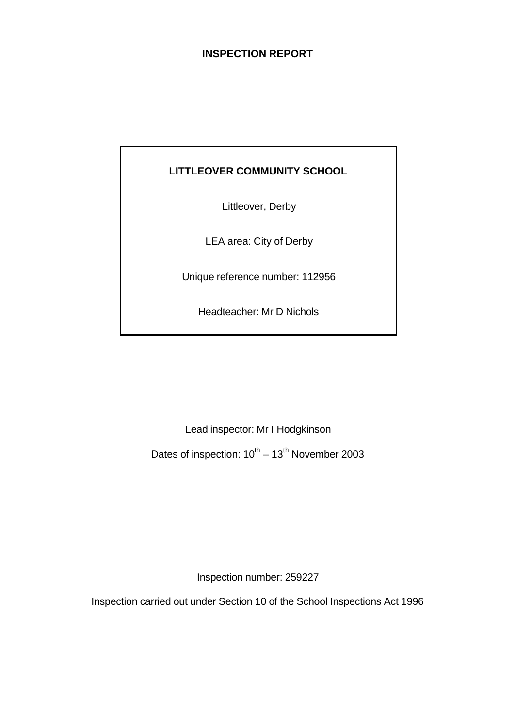## **INSPECTION REPORT**

## **LITTLEOVER COMMUNITY SCHOOL**

Littleover, Derby

LEA area: City of Derby

Unique reference number: 112956

Headteacher: Mr D Nichols

Lead inspector: Mr I Hodgkinson

Dates of inspection:  $10^{\text{th}} - 13^{\text{th}}$  November 2003

Inspection number: 259227

Inspection carried out under Section 10 of the School Inspections Act 1996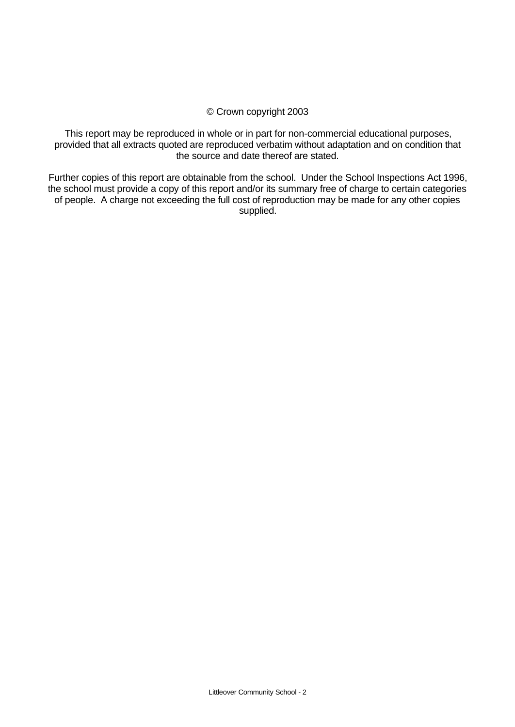#### © Crown copyright 2003

This report may be reproduced in whole or in part for non-commercial educational purposes, provided that all extracts quoted are reproduced verbatim without adaptation and on condition that the source and date thereof are stated.

Further copies of this report are obtainable from the school. Under the School Inspections Act 1996, the school must provide a copy of this report and/or its summary free of charge to certain categories of people. A charge not exceeding the full cost of reproduction may be made for any other copies supplied.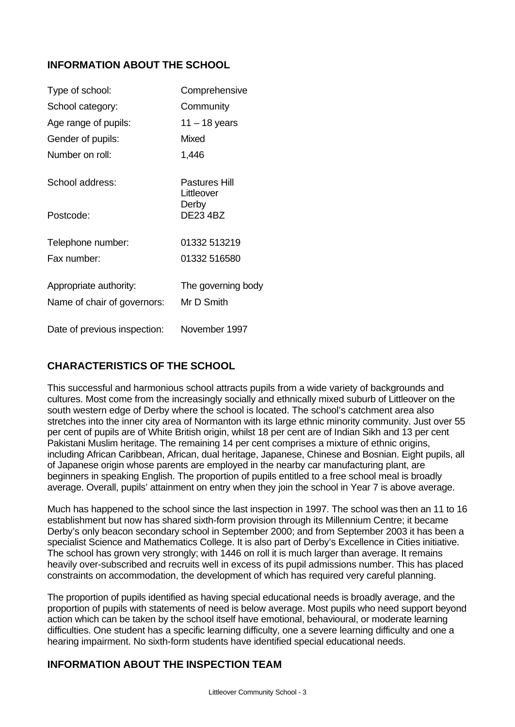## **INFORMATION ABOUT THE SCHOOL**

| Type of school:              | Comprehensive               |
|------------------------------|-----------------------------|
| School category:             | Community                   |
| Age range of pupils:         | 11 – 18 years               |
| Gender of pupils:            | Mixed                       |
| Number on roll:              | 1,446                       |
| School address:              | Pastures Hill<br>Littleover |
| Postcode:                    | Derby<br><b>DE23 4BZ</b>    |
| Telephone number:            | 01332 513219                |
| Fax number:                  | 01332 516580                |
| Appropriate authority:       | The governing body          |
| Name of chair of governors:  | Mr D Smith                  |
| Date of previous inspection: | November 1997               |

## **CHARACTERISTICS OF THE SCHOOL**

This successful and harmonious school attracts pupils from a wide variety of backgrounds and cultures. Most come from the increasingly socially and ethnically mixed suburb of Littleover on the south western edge of Derby where the school is located. The school's catchment area also stretches into the inner city area of Normanton with its large ethnic minority community. Just over 55 per cent of pupils are of White British origin, whilst 18 per cent are of Indian Sikh and 13 per cent Pakistani Muslim heritage. The remaining 14 per cent comprises a mixture of ethnic origins, including African Caribbean, African, dual heritage, Japanese, Chinese and Bosnian. Eight pupils, all of Japanese origin whose parents are employed in the nearby car manufacturing plant, are beginners in speaking English. The proportion of pupils entitled to a free school meal is broadly average. Overall, pupils' attainment on entry when they join the school in Year 7 is above average.

Much has happened to the school since the last inspection in 1997. The school was then an 11 to 16 establishment but now has shared sixth-form provision through its Millennium Centre; it became Derby's only beacon secondary school in September 2000; and from September 2003 it has been a specialist Science and Mathematics College. It is also part of Derby's Excellence in Cities initiative. The school has grown very strongly; with 1446 on roll it is much larger than average. It remains heavily over-subscribed and recruits well in excess of its pupil admissions number. This has placed constraints on accommodation, the development of which has required very careful planning.

The proportion of pupils identified as having special educational needs is broadly average, and the proportion of pupils with statements of need is below average. Most pupils who need support beyond action which can be taken by the school itself have emotional, behavioural, or moderate learning difficulties. One student has a specific learning difficulty, one a severe learning difficulty and one a hearing impairment. No sixth-form students have identified special educational needs.

## **INFORMATION ABOUT THE INSPECTION TEAM**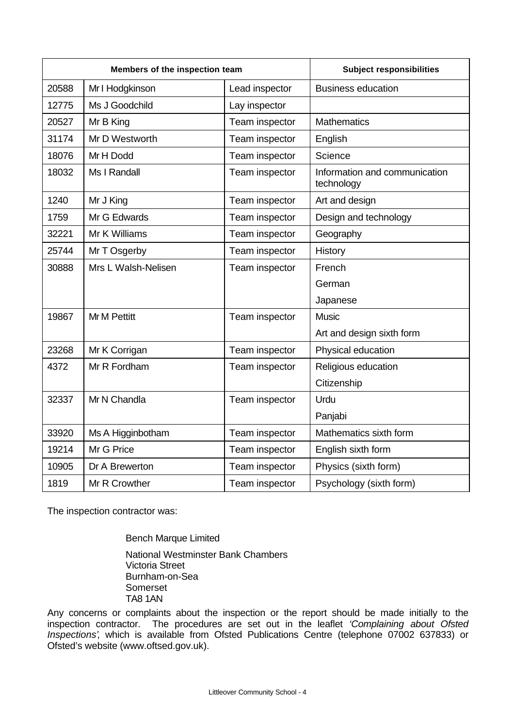| Members of the inspection team |                                   | <b>Subject responsibilities</b> |                                             |
|--------------------------------|-----------------------------------|---------------------------------|---------------------------------------------|
| 20588                          | Mr I Hodgkinson<br>Lead inspector |                                 | <b>Business education</b>                   |
| 12775                          | Ms J Goodchild                    | Lay inspector                   |                                             |
| 20527                          | Mr B King                         | Team inspector                  | <b>Mathematics</b>                          |
| 31174                          | Mr D Westworth                    | Team inspector                  | English                                     |
| 18076                          | Mr H Dodd                         | Team inspector                  | Science                                     |
| 18032                          | Ms I Randall                      | Team inspector                  | Information and communication<br>technology |
| 1240                           | Mr J King                         | Team inspector                  | Art and design                              |
| 1759                           | Mr G Edwards                      | Team inspector                  | Design and technology                       |
| 32221                          | Mr K Williams                     | Team inspector                  | Geography                                   |
| 25744                          | Mr T Osgerby                      | Team inspector                  | History                                     |
| 30888                          | Mrs L Walsh-Nelisen               | Team inspector                  | French                                      |
|                                |                                   |                                 | German                                      |
|                                |                                   |                                 | Japanese                                    |
| 19867                          | <b>Mr M Pettitt</b>               | Team inspector                  | <b>Music</b>                                |
|                                |                                   |                                 | Art and design sixth form                   |
| 23268                          | Mr K Corrigan                     | Team inspector                  | Physical education                          |
| 4372                           | Mr R Fordham                      | Team inspector                  | Religious education                         |
|                                |                                   |                                 | Citizenship                                 |
| 32337                          | Mr N Chandla                      | Team inspector                  | Urdu                                        |
|                                |                                   |                                 | Panjabi                                     |
| 33920                          | Ms A Higginbotham                 | Team inspector                  | Mathematics sixth form                      |
| 19214                          | Mr G Price                        | Team inspector                  | English sixth form                          |
| 10905                          | Dr A Brewerton                    | Team inspector                  | Physics (sixth form)                        |
| 1819                           | Mr R Crowther                     | Team inspector                  | Psychology (sixth form)                     |

The inspection contractor was:

Bench Marque Limited National Westminster Bank Chambers Victoria Street Burnham-on-Sea Somerset TA8 1AN

Any concerns or complaints about the inspection or the report should be made initially to the inspection contractor. The procedures are set out in the leaflet *'Complaining about Ofsted Inspections'*, which is available from Ofsted Publications Centre (telephone 07002 637833) or Ofsted's website (www.oftsed.gov.uk).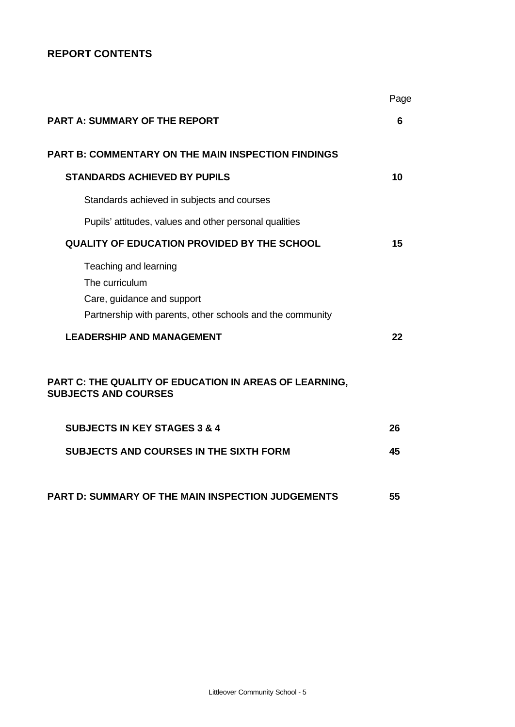## **REPORT CONTENTS**

|                                                                                                                                                                                                                                                                 | Page |
|-----------------------------------------------------------------------------------------------------------------------------------------------------------------------------------------------------------------------------------------------------------------|------|
| <b>PART A: SUMMARY OF THE REPORT</b>                                                                                                                                                                                                                            | 6    |
| <b>PART B: COMMENTARY ON THE MAIN INSPECTION FINDINGS</b>                                                                                                                                                                                                       |      |
| <b>STANDARDS ACHIEVED BY PUPILS</b>                                                                                                                                                                                                                             | 10   |
| Standards achieved in subjects and courses                                                                                                                                                                                                                      |      |
| Pupils' attitudes, values and other personal qualities                                                                                                                                                                                                          |      |
| <b>QUALITY OF EDUCATION PROVIDED BY THE SCHOOL</b>                                                                                                                                                                                                              | 15   |
| Teaching and learning<br>The curriculum<br>Care, guidance and support<br>Partnership with parents, other schools and the community<br><b>LEADERSHIP AND MANAGEMENT</b><br>PART C: THE QUALITY OF EDUCATION IN AREAS OF LEARNING,<br><b>SUBJECTS AND COURSES</b> | 22   |
| <b>SUBJECTS IN KEY STAGES 3 &amp; 4</b>                                                                                                                                                                                                                         | 26   |
| <b>SUBJECTS AND COURSES IN THE SIXTH FORM</b>                                                                                                                                                                                                                   | 45   |
| <b>PART D: SUMMARY OF THE MAIN INSPECTION JUDGEMENTS</b>                                                                                                                                                                                                        | 55   |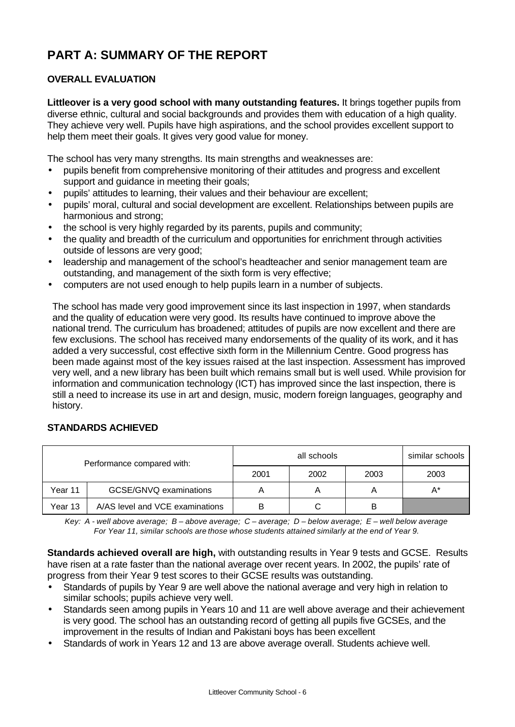# **PART A: SUMMARY OF THE REPORT**

## **OVERALL EVALUATION**

**Littleover is a very good school with many outstanding features.** It brings together pupils from diverse ethnic, cultural and social backgrounds and provides them with education of a high quality. They achieve very well. Pupils have high aspirations, and the school provides excellent support to help them meet their goals. It gives very good value for money.

The school has very many strengths. Its main strengths and weaknesses are:

- pupils benefit from comprehensive monitoring of their attitudes and progress and excellent support and guidance in meeting their goals;
- pupils' attitudes to learning, their values and their behaviour are excellent;
- pupils' moral, cultural and social development are excellent. Relationships between pupils are harmonious and strong;
- the school is very highly regarded by its parents, pupils and community;
- the quality and breadth of the curriculum and opportunities for enrichment through activities outside of lessons are very good;
- leadership and management of the school's headteacher and senior management team are outstanding, and management of the sixth form is very effective;
- computers are not used enough to help pupils learn in a number of subjects.

The school has made very good improvement since its last inspection in 1997, when standards and the quality of education were very good. Its results have continued to improve above the national trend. The curriculum has broadened; attitudes of pupils are now excellent and there are few exclusions. The school has received many endorsements of the quality of its work, and it has added a very successful, cost effective sixth form in the Millennium Centre. Good progress has been made against most of the key issues raised at the last inspection. Assessment has improved very well, and a new library has been built which remains small but is well used. While provision for information and communication technology (ICT) has improved since the last inspection, there is still a need to increase its use in art and design, music, modern foreign languages, geography and history.

#### **STANDARDS ACHIEVED**

| Performance compared with:                 |  |      | all schools |      | similar schools |
|--------------------------------------------|--|------|-------------|------|-----------------|
|                                            |  | 2001 | 2002        | 2003 | 2003            |
| GCSE/GNVQ examinations<br>Year 11          |  | Α    |             |      | $A^*$           |
| A/AS level and VCE examinations<br>Year 13 |  | B    |             | в    |                 |

*Key: A - well above average; B – above average; C – average; D – below average; E – well below average For Year 11, similar schools are those whose students attained similarly at the end of Year 9.*

**Standards achieved overall are high,** with outstanding results in Year 9 tests and GCSE.Results have risen at a rate faster than the national average over recent years. In 2002, the pupils' rate of progress from their Year 9 test scores to their GCSE results was outstanding.

- Standards of pupils by Year 9 are well above the national average and very high in relation to similar schools; pupils achieve very well.
- Standards seen among pupils in Years 10 and 11 are well above average and their achievement is very good. The school has an outstanding record of getting all pupils five GCSEs, and the improvement in the results of Indian and Pakistani boys has been excellent
- Standards of work in Years 12 and 13 are above average overall. Students achieve well.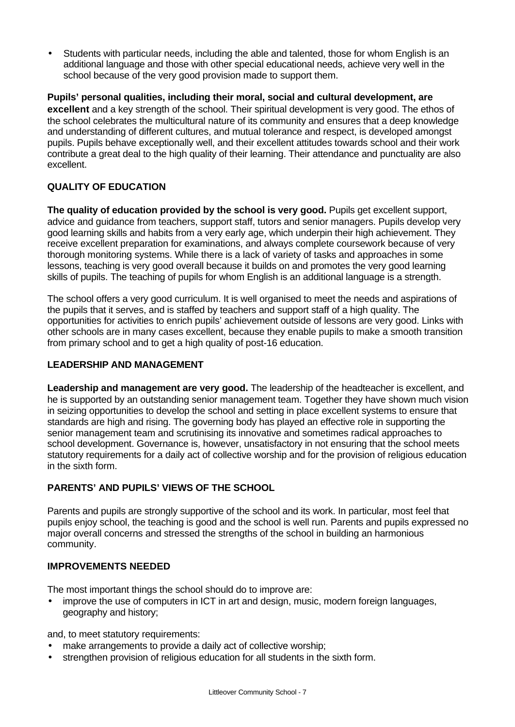• Students with particular needs, including the able and talented, those for whom English is an additional language and those with other special educational needs, achieve very well in the school because of the very good provision made to support them.

**Pupils' personal qualities, including their moral, social and cultural development, are excellent** and a key strength of the school. Their spiritual development is very good. The ethos of the school celebrates the multicultural nature of its community and ensures that a deep knowledge and understanding of different cultures, and mutual tolerance and respect, is developed amongst pupils. Pupils behave exceptionally well, and their excellent attitudes towards school and their work contribute a great deal to the high quality of their learning. Their attendance and punctuality are also excellent.

## **QUALITY OF EDUCATION**

**The quality of education provided by the school is very good.** Pupils get excellent support, advice and guidance from teachers, support staff, tutors and senior managers. Pupils develop very good learning skills and habits from a very early age, which underpin their high achievement. They receive excellent preparation for examinations, and always complete coursework because of very thorough monitoring systems. While there is a lack of variety of tasks and approaches in some lessons, teaching is very good overall because it builds on and promotes the very good learning skills of pupils. The teaching of pupils for whom English is an additional language is a strength.

The school offers a very good curriculum. It is well organised to meet the needs and aspirations of the pupils that it serves, and is staffed by teachers and support staff of a high quality. The opportunities for activities to enrich pupils' achievement outside of lessons are very good. Links with other schools are in many cases excellent, because they enable pupils to make a smooth transition from primary school and to get a high quality of post-16 education.

#### **LEADERSHIP AND MANAGEMENT**

**Leadership and management are very good.** The leadership of the headteacher is excellent, and he is supported by an outstanding senior management team. Together they have shown much vision in seizing opportunities to develop the school and setting in place excellent systems to ensure that standards are high and rising. The governing body has played an effective role in supporting the senior management team and scrutinising its innovative and sometimes radical approaches to school development. Governance is, however, unsatisfactory in not ensuring that the school meets statutory requirements for a daily act of collective worship and for the provision of religious education in the sixth form.

### **PARENTS' AND PUPILS' VIEWS OF THE SCHOOL**

Parents and pupils are strongly supportive of the school and its work. In particular, most feel that pupils enjoy school, the teaching is good and the school is well run. Parents and pupils expressed no major overall concerns and stressed the strengths of the school in building an harmonious community.

### **IMPROVEMENTS NEEDED**

The most important things the school should do to improve are:

• improve the use of computers in ICT in art and design, music, modern foreign languages, geography and history;

and, to meet statutory requirements:

- make arrangements to provide a daily act of collective worship;
- strengthen provision of religious education for all students in the sixth form.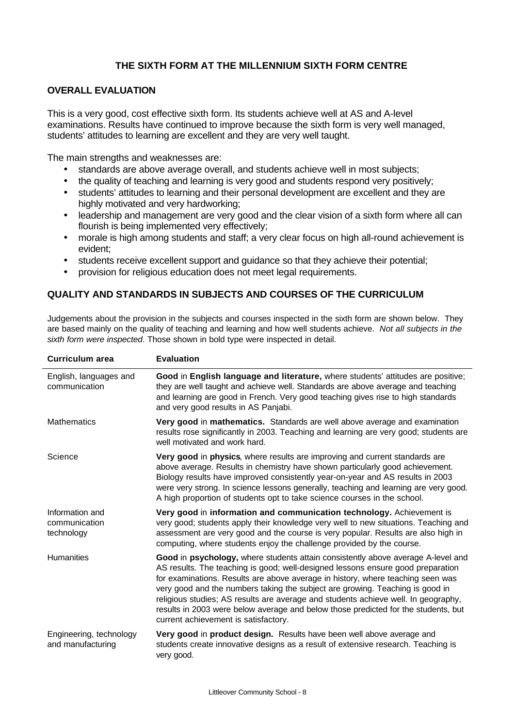#### **THE SIXTH FORM AT THE MILLENNIUM SIXTH FORM CENTRE**

#### **OVERALL EVALUATION**

This is a very good, cost effective sixth form. Its students achieve well at AS and A-level examinations. Results have continued to improve because the sixth form is very well managed, students' attitudes to learning are excellent and they are very well taught.

The main strengths and weaknesses are:

- standards are above average overall, and students achieve well in most subjects;
- the quality of teaching and learning is very good and students respond very positively;
- students' attitudes to learning and their personal development are excellent and they are highly motivated and very hardworking;
- leadership and management are very good and the clear vision of a sixth form where all can flourish is being implemented very effectively;
- morale is high among students and staff; a very clear focus on high all-round achievement is evident;
- students receive excellent support and guidance so that they achieve their potential;
- provision for religious education does not meet legal requirements.

#### **QUALITY AND STANDARDS IN SUBJECTS AND COURSES OF THE CURRICULUM**

Judgements about the provision in the subjects and courses inspected in the sixth form are shown below. They are based mainly on the quality of teaching and learning and how well students achieve. *Not all subjects in the sixth form were inspected*. Those shown in bold type were inspected in detail.

| Curriculum area                                | <b>Evaluation</b>                                                                                                                                                                                                                                                                                                                                                                                                                                                                                                                                           |
|------------------------------------------------|-------------------------------------------------------------------------------------------------------------------------------------------------------------------------------------------------------------------------------------------------------------------------------------------------------------------------------------------------------------------------------------------------------------------------------------------------------------------------------------------------------------------------------------------------------------|
| English, languages and<br>communication        | Good in English language and literature, where students' attitudes are positive;<br>they are well taught and achieve well. Standards are above average and teaching<br>and learning are good in French. Very good teaching gives rise to high standards<br>and very good results in AS Panjabi.                                                                                                                                                                                                                                                             |
| <b>Mathematics</b>                             | Very good in mathematics. Standards are well above average and examination<br>results rose significantly in 2003. Teaching and learning are very good; students are<br>well motivated and work hard.                                                                                                                                                                                                                                                                                                                                                        |
| Science                                        | Very good in physics, where results are improving and current standards are<br>above average. Results in chemistry have shown particularly good achievement.<br>Biology results have improved consistently year-on-year and AS results in 2003<br>were very strong. In science lessons generally, teaching and learning are very good.<br>A high proportion of students opt to take science courses in the school.                                                                                                                                          |
| Information and<br>communication<br>technology | Very good in information and communication technology. Achievement is<br>very good; students apply their knowledge very well to new situations. Teaching and<br>assessment are very good and the course is very popular. Results are also high in<br>computing, where students enjoy the challenge provided by the course.                                                                                                                                                                                                                                  |
| <b>Humanities</b>                              | Good in psychology, where students attain consistently above average A-level and<br>AS results. The teaching is good; well-designed lessons ensure good preparation<br>for examinations. Results are above average in history, where teaching seen was<br>very good and the numbers taking the subject are growing. Teaching is good in<br>religious studies; AS results are average and students achieve well. In geography,<br>results in 2003 were below average and below those predicted for the students, but<br>current achievement is satisfactory. |
| Engineering, technology<br>and manufacturing   | Very good in product design. Results have been well above average and<br>students create innovative designs as a result of extensive research. Teaching is<br>very good.                                                                                                                                                                                                                                                                                                                                                                                    |
|                                                |                                                                                                                                                                                                                                                                                                                                                                                                                                                                                                                                                             |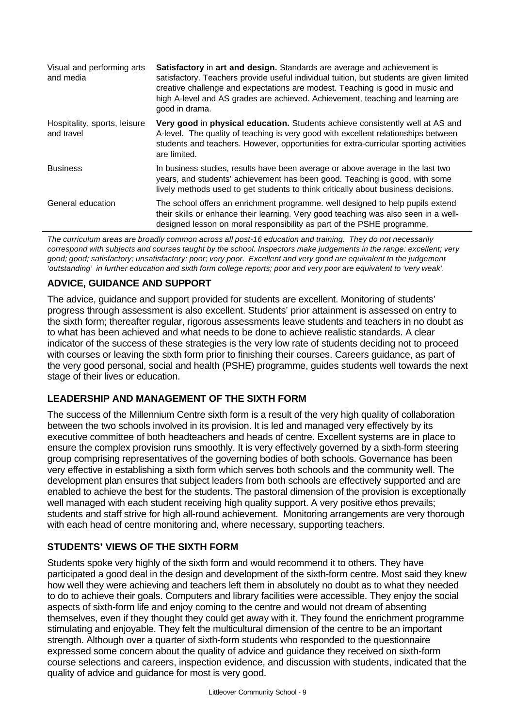| Visual and performing arts<br>and media    | <b>Satisfactory</b> in art and design. Standards are average and achievement is<br>satisfactory. Teachers provide useful individual tuition, but students are given limited<br>creative challenge and expectations are modest. Teaching is good in music and<br>high A-level and AS grades are achieved. Achievement, teaching and learning are<br>good in drama. |
|--------------------------------------------|-------------------------------------------------------------------------------------------------------------------------------------------------------------------------------------------------------------------------------------------------------------------------------------------------------------------------------------------------------------------|
| Hospitality, sports, leisure<br>and travel | Very good in physical education. Students achieve consistently well at AS and<br>A-level. The quality of teaching is very good with excellent relationships between<br>students and teachers. However, opportunities for extra-curricular sporting activities<br>are limited.                                                                                     |
| <b>Business</b>                            | In business studies, results have been average or above average in the last two<br>years, and students' achievement has been good. Teaching is good, with some<br>lively methods used to get students to think critically about business decisions.                                                                                                               |
| General education                          | The school offers an enrichment programme. well designed to help pupils extend<br>their skills or enhance their learning. Very good teaching was also seen in a well-<br>designed lesson on moral responsibility as part of the PSHE programme.                                                                                                                   |

*The curriculum areas are broadly common across all post-16 education and training. They do not necessarily correspond with subjects and courses taught by the school. Inspectors make judgements in the range: excellent; very good; good; satisfactory; unsatisfactory; poor; very poor. Excellent and very good are equivalent to the judgement 'outstanding' in further education and sixth form college reports; poor and very poor are equivalent to 'very weak'.*

## **ADVICE, GUIDANCE AND SUPPORT**

The advice, guidance and support provided for students are excellent. Monitoring of students' progress through assessment is also excellent. Students' prior attainment is assessed on entry to the sixth form; thereafter regular, rigorous assessments leave students and teachers in no doubt as to what has been achieved and what needs to be done to achieve realistic standards. A clear indicator of the success of these strategies is the very low rate of students deciding not to proceed with courses or leaving the sixth form prior to finishing their courses. Careers guidance, as part of the very good personal, social and health (PSHE) programme, guides students well towards the next stage of their lives or education.

### **LEADERSHIP AND MANAGEMENT OF THE SIXTH FORM**

The success of the Millennium Centre sixth form is a result of the very high quality of collaboration between the two schools involved in its provision. It is led and managed very effectively by its executive committee of both headteachers and heads of centre. Excellent systems are in place to ensure the complex provision runs smoothly. It is very effectively governed by a sixth-form steering group comprising representatives of the governing bodies of both schools. Governance has been very effective in establishing a sixth form which serves both schools and the community well. The development plan ensures that subject leaders from both schools are effectively supported and are enabled to achieve the best for the students. The pastoral dimension of the provision is exceptionally well managed with each student receiving high quality support. A very positive ethos prevails; students and staff strive for high all-round achievement. Monitoring arrangements are very thorough with each head of centre monitoring and, where necessary, supporting teachers.

### **STUDENTS' VIEWS OF THE SIXTH FORM**

Students spoke very highly of the sixth form and would recommend it to others. They have participated a good deal in the design and development of the sixth-form centre. Most said they knew how well they were achieving and teachers left them in absolutely no doubt as to what they needed to do to achieve their goals. Computers and library facilities were accessible. They enjoy the social aspects of sixth-form life and enjoy coming to the centre and would not dream of absenting themselves, even if they thought they could get away with it. They found the enrichment programme stimulating and enjoyable. They felt the multicultural dimension of the centre to be an important strength. Although over a quarter of sixth-form students who responded to the questionnaire expressed some concern about the quality of advice and guidance they received on sixth-form course selections and careers, inspection evidence, and discussion with students, indicated that the quality of advice and guidance for most is very good.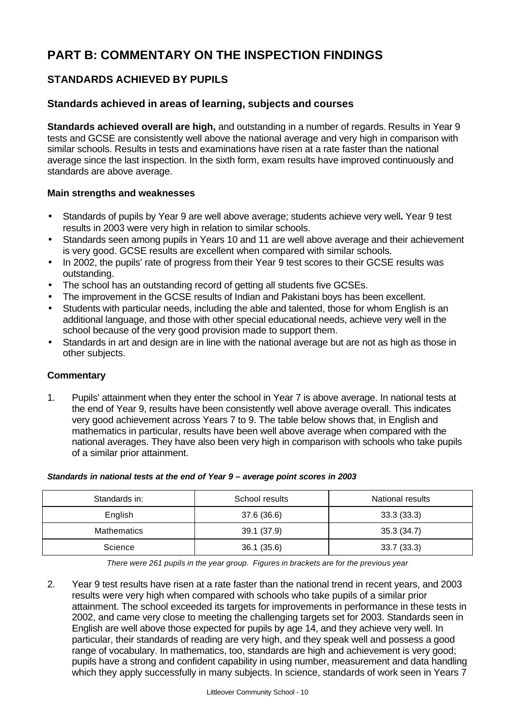# **PART B: COMMENTARY ON THE INSPECTION FINDINGS**

## **STANDARDS ACHIEVED BY PUPILS**

### **Standards achieved in areas of learning, subjects and courses**

**Standards achieved overall are high,** and outstanding in a number of regards. Results in Year 9 tests and GCSE are consistently well above the national average and very high in comparison with similar schools. Results in tests and examinations have risen at a rate faster than the national average since the last inspection. In the sixth form, exam results have improved continuously and standards are above average.

#### **Main strengths and weaknesses**

- Standards of pupils by Year 9 are well above average; students achieve very well**.** Year 9 test results in 2003 were very high in relation to similar schools.
- Standards seen among pupils in Years 10 and 11 are well above average and their achievement is very good. GCSE results are excellent when compared with similar schools.
- In 2002, the pupils' rate of progress from their Year 9 test scores to their GCSE results was outstanding.
- The school has an outstanding record of getting all students five GCSEs.
- The improvement in the GCSE results of Indian and Pakistani boys has been excellent.
- Students with particular needs, including the able and talented, those for whom English is an additional language, and those with other special educational needs, achieve very well in the school because of the very good provision made to support them.
- Standards in art and design are in line with the national average but are not as high as those in other subjects.

#### **Commentary**

1. Pupils' attainment when they enter the school in Year 7 is above average. In national tests at the end of Year 9, results have been consistently well above average overall. This indicates very good achievement across Years 7 to 9. The table below shows that, in English and mathematics in particular, results have been well above average when compared with the national averages. They have also been very high in comparison with schools who take pupils of a similar prior attainment.

#### *Standards in national tests at the end of Year 9 – average point scores in 2003*

| Standards in:      | School results | National results |
|--------------------|----------------|------------------|
| English            | 37.6 (36.6)    | 33.3(33.3)       |
| <b>Mathematics</b> | 39.1 (37.9)    | 35.3 (34.7)      |
| Science            | 36.1(35.6)     | 33.7(33.3)       |

*There were 261 pupils in the year group. Figures in brackets are for the previous year*

2. Year 9 test results have risen at a rate faster than the national trend in recent years, and 2003 results were very high when compared with schools who take pupils of a similar prior attainment. The school exceeded its targets for improvements in performance in these tests in 2002, and came very close to meeting the challenging targets set for 2003. Standards seen in English are well above those expected for pupils by age 14, and they achieve very well. In particular, their standards of reading are very high, and they speak well and possess a good range of vocabulary. In mathematics, too, standards are high and achievement is very good; pupils have a strong and confident capability in using number, measurement and data handling which they apply successfully in many subjects. In science, standards of work seen in Years 7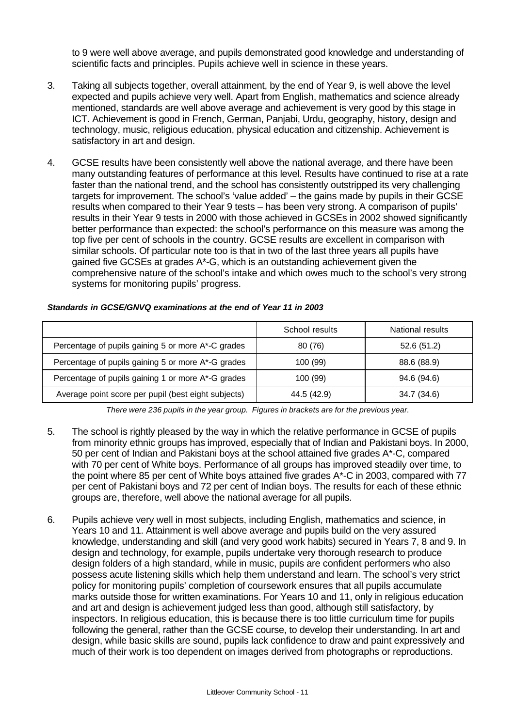to 9 were well above average, and pupils demonstrated good knowledge and understanding of scientific facts and principles. Pupils achieve well in science in these years.

- 3. Taking all subjects together, overall attainment, by the end of Year 9, is well above the level expected and pupils achieve very well. Apart from English, mathematics and science already mentioned, standards are well above average and achievement is very good by this stage in ICT. Achievement is good in French, German, Panjabi, Urdu, geography, history, design and technology, music, religious education, physical education and citizenship. Achievement is satisfactory in art and design.
- 4. GCSE results have been consistently well above the national average, and there have been many outstanding features of performance at this level. Results have continued to rise at a rate faster than the national trend, and the school has consistently outstripped its very challenging targets for improvement. The school's 'value added' – the gains made by pupils in their GCSE results when compared to their Year 9 tests – has been very strong. A comparison of pupils' results in their Year 9 tests in 2000 with those achieved in GCSEs in 2002 showed significantly better performance than expected: the school's performance on this measure was among the top five per cent of schools in the country. GCSE results are excellent in comparison with similar schools. Of particular note too is that in two of the last three years all pupils have gained five GCSEs at grades A\*-G, which is an outstanding achievement given the comprehensive nature of the school's intake and which owes much to the school's very strong systems for monitoring pupils' progress.

|                                                     | School results | National results |
|-----------------------------------------------------|----------------|------------------|
| Percentage of pupils gaining 5 or more A*-C grades  | 80 (76)        | 52.6 (51.2)      |
| Percentage of pupils gaining 5 or more A*-G grades  | 100 (99)       | 88.6 (88.9)      |
| Percentage of pupils gaining 1 or more A*-G grades  | 100 (99)       | 94.6 (94.6)      |
| Average point score per pupil (best eight subjects) | 44.5 (42.9)    | 34.7 (34.6)      |

#### *Standards in GCSE/GNVQ examinations at the end of Year 11 in 2003*

*There were 236 pupils in the year group. Figures in brackets are for the previous year.*

- 5. The school is rightly pleased by the way in which the relative performance in GCSE of pupils from minority ethnic groups has improved, especially that of Indian and Pakistani boys. In 2000, 50 per cent of Indian and Pakistani boys at the school attained five grades A\*-C, compared with 70 per cent of White boys. Performance of all groups has improved steadily over time, to the point where 85 per cent of White boys attained five grades A\*-C in 2003, compared with 77 per cent of Pakistani boys and 72 per cent of Indian boys. The results for each of these ethnic groups are, therefore, well above the national average for all pupils.
- 6. Pupils achieve very well in most subjects, including English, mathematics and science, in Years 10 and 11. Attainment is well above average and pupils build on the very assured knowledge, understanding and skill (and very good work habits) secured in Years 7, 8 and 9. In design and technology, for example, pupils undertake very thorough research to produce design folders of a high standard, while in music, pupils are confident performers who also possess acute listening skills which help them understand and learn. The school's very strict policy for monitoring pupils' completion of coursework ensures that all pupils accumulate marks outside those for written examinations. For Years 10 and 11, only in religious education and art and design is achievement judged less than good, although still satisfactory, by inspectors. In religious education, this is because there is too little curriculum time for pupils following the general, rather than the GCSE course, to develop their understanding. In art and design, while basic skills are sound, pupils lack confidence to draw and paint expressively and much of their work is too dependent on images derived from photographs or reproductions.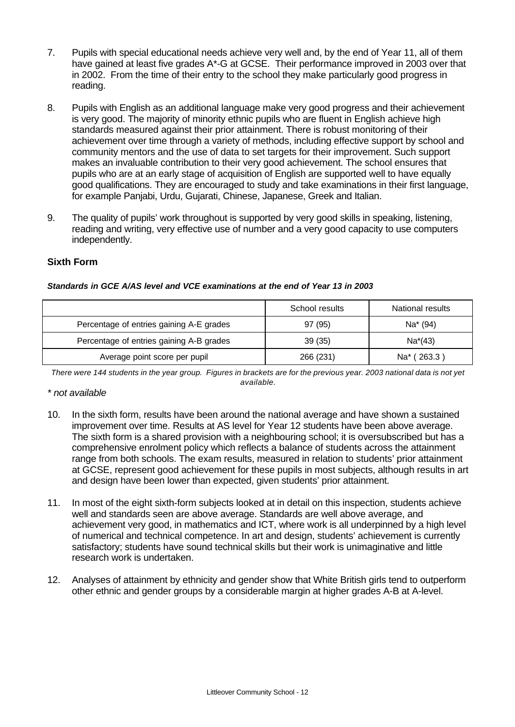- 7. Pupils with special educational needs achieve very well and, by the end of Year 11, all of them have gained at least five grades A\*-G at GCSE. Their performance improved in 2003 over that in 2002. From the time of their entry to the school they make particularly good progress in reading.
- 8. Pupils with English as an additional language make very good progress and their achievement is very good. The majority of minority ethnic pupils who are fluent in English achieve high standards measured against their prior attainment. There is robust monitoring of their achievement over time through a variety of methods, including effective support by school and community mentors and the use of data to set targets for their improvement. Such support makes an invaluable contribution to their very good achievement. The school ensures that pupils who are at an early stage of acquisition of English are supported well to have equally good qualifications. They are encouraged to study and take examinations in their first language, for example Panjabi, Urdu, Gujarati, Chinese, Japanese, Greek and Italian.
- 9. The quality of pupils' work throughout is supported by very good skills in speaking, listening, reading and writing, very effective use of number and a very good capacity to use computers independently.

#### **Sixth Form**

|                                          | School results | National results     |
|------------------------------------------|----------------|----------------------|
| Percentage of entries gaining A-E grades | 97 (95)        | Na <sup>*</sup> (94) |
| Percentage of entries gaining A-B grades | 39(35)         | $Na*(43)$            |
| Average point score per pupil            | 266 (231)      | Na* (263.3)          |

*Standards in GCE A/AS level and VCE examinations at the end of Year 13 in 2003*

*There were 144 students in the year group. Figures in brackets are for the previous year. 2003 national data is not yet available.*

#### *\* not available*

- 10. In the sixth form, results have been around the national average and have shown a sustained improvement over time. Results at AS level for Year 12 students have been above average. The sixth form is a shared provision with a neighbouring school; it is oversubscribed but has a comprehensive enrolment policy which reflects a balance of students across the attainment range from both schools. The exam results, measured in relation to students' prior attainment at GCSE, represent good achievement for these pupils in most subjects, although results in art and design have been lower than expected, given students' prior attainment.
- 11. In most of the eight sixth-form subjects looked at in detail on this inspection, students achieve well and standards seen are above average. Standards are well above average, and achievement very good, in mathematics and ICT, where work is all underpinned by a high level of numerical and technical competence. In art and design, students' achievement is currently satisfactory; students have sound technical skills but their work is unimaginative and little research work is undertaken.
- 12. Analyses of attainment by ethnicity and gender show that White British girls tend to outperform other ethnic and gender groups by a considerable margin at higher grades A-B at A-level.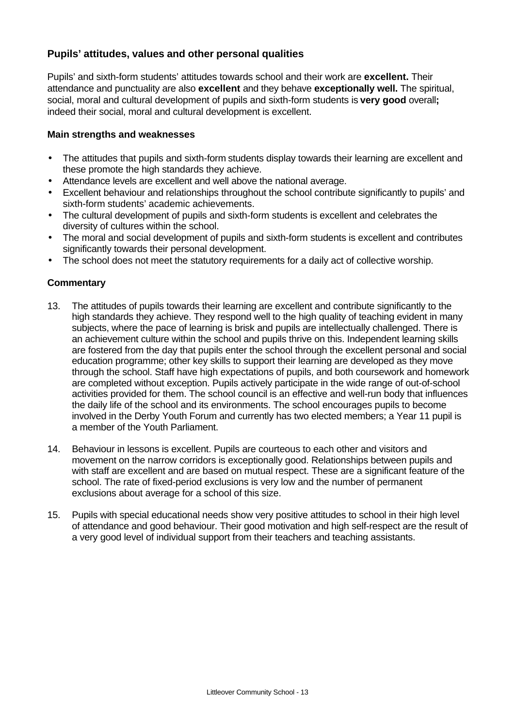## **Pupils' attitudes, values and other personal qualities**

Pupils' and sixth-form students' attitudes towards school and their work are **excellent.** Their attendance and punctuality are also **excellent** and they behave **exceptionally well.** The spiritual, social, moral and cultural development of pupils and sixth-form students is **very good** overall**;** indeed their social, moral and cultural development is excellent.

#### **Main strengths and weaknesses**

- The attitudes that pupils and sixth-form students display towards their learning are excellent and these promote the high standards they achieve.
- Attendance levels are excellent and well above the national average.
- Excellent behaviour and relationships throughout the school contribute significantly to pupils' and sixth-form students' academic achievements.
- The cultural development of pupils and sixth-form students is excellent and celebrates the diversity of cultures within the school.
- The moral and social development of pupils and sixth-form students is excellent and contributes significantly towards their personal development.
- The school does not meet the statutory requirements for a daily act of collective worship.

- 13. The attitudes of pupils towards their learning are excellent and contribute significantly to the high standards they achieve. They respond well to the high quality of teaching evident in many subjects, where the pace of learning is brisk and pupils are intellectually challenged. There is an achievement culture within the school and pupils thrive on this. Independent learning skills are fostered from the day that pupils enter the school through the excellent personal and social education programme; other key skills to support their learning are developed as they move through the school. Staff have high expectations of pupils, and both coursework and homework are completed without exception. Pupils actively participate in the wide range of out-of-school activities provided for them. The school council is an effective and well-run body that influences the daily life of the school and its environments. The school encourages pupils to become involved in the Derby Youth Forum and currently has two elected members; a Year 11 pupil is a member of the Youth Parliament.
- 14. Behaviour in lessons is excellent. Pupils are courteous to each other and visitors and movement on the narrow corridors is exceptionally good. Relationships between pupils and with staff are excellent and are based on mutual respect. These are a significant feature of the school. The rate of fixed-period exclusions is very low and the number of permanent exclusions about average for a school of this size.
- 15. Pupils with special educational needs show very positive attitudes to school in their high level of attendance and good behaviour. Their good motivation and high self-respect are the result of a very good level of individual support from their teachers and teaching assistants.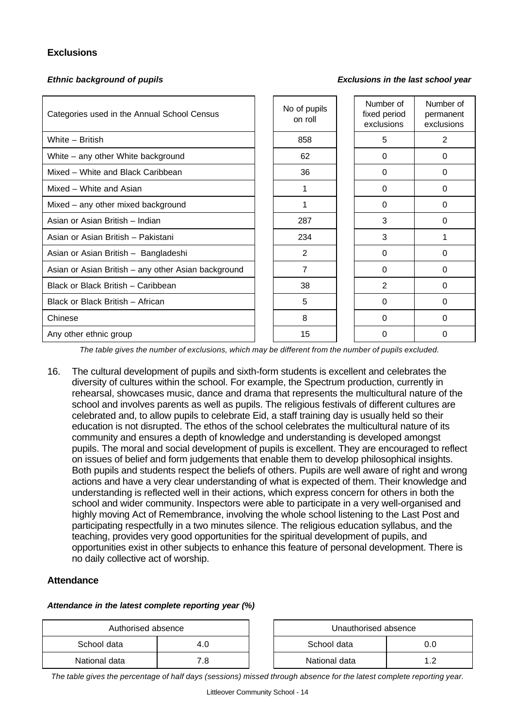#### **Exclusions**

*Ethnic background of pupils Exclusions in the last school year*

| Categories used in the Annual School Census         | No of pupils<br>on roll | Number of<br>fixed period<br>exclusions | Number of<br>permanent<br>exclusions |
|-----------------------------------------------------|-------------------------|-----------------------------------------|--------------------------------------|
| White - British                                     | 858                     | 5                                       | 2                                    |
| White - any other White background                  | 62                      | $\Omega$                                | $\Omega$                             |
| Mixed - White and Black Caribbean                   | 36                      | 0                                       | 0                                    |
| Mixed - White and Asian                             | 1                       | 0                                       | $\Omega$                             |
| Mixed - any other mixed background                  |                         | 0                                       | $\Omega$                             |
| Asian or Asian British - Indian                     | 287                     | 3                                       | $\Omega$                             |
| Asian or Asian British - Pakistani                  | 234                     | 3                                       |                                      |
| Asian or Asian British - Bangladeshi                | 2                       | $\Omega$                                | 0                                    |
| Asian or Asian British - any other Asian background | 7                       | $\Omega$                                | 0                                    |
| Black or Black British - Caribbean                  | 38                      | 2                                       | 0                                    |
| Black or Black British - African                    | 5                       | 0                                       | $\Omega$                             |
| Chinese                                             | 8                       | 0                                       | $\Omega$                             |
| Any other ethnic group                              | 15                      | 0                                       | $\Omega$                             |

*The table gives the number of exclusions, which may be different from the number of pupils excluded.*

16. The cultural development of pupils and sixth-form students is excellent and celebrates the diversity of cultures within the school. For example, the Spectrum production, currently in rehearsal, showcases music, dance and drama that represents the multicultural nature of the school and involves parents as well as pupils. The religious festivals of different cultures are celebrated and, to allow pupils to celebrate Eid, a staff training day is usually held so their education is not disrupted. The ethos of the school celebrates the multicultural nature of its community and ensures a depth of knowledge and understanding is developed amongst pupils. The moral and social development of pupils is excellent. They are encouraged to reflect on issues of belief and form judgements that enable them to develop philosophical insights. Both pupils and students respect the beliefs of others. Pupils are well aware of right and wrong actions and have a very clear understanding of what is expected of them. Their knowledge and understanding is reflected well in their actions, which express concern for others in both the school and wider community. Inspectors were able to participate in a very well-organised and highly moving Act of Remembrance, involving the whole school listening to the Last Post and participating respectfully in a two minutes silence. The religious education syllabus, and the teaching, provides very good opportunities for the spiritual development of pupils, and opportunities exist in other subjects to enhance this feature of personal development. There is no daily collective act of worship.

#### **Attendance**

#### *Attendance in the latest complete reporting year (%)*

| Authorised absence |     | Unauthorised absence |  |
|--------------------|-----|----------------------|--|
| School data        |     | School data<br>0.0   |  |
| National data      | 8.' | National data        |  |

*The table gives the percentage of half days (sessions) missed through absence for the latest complete reporting year.*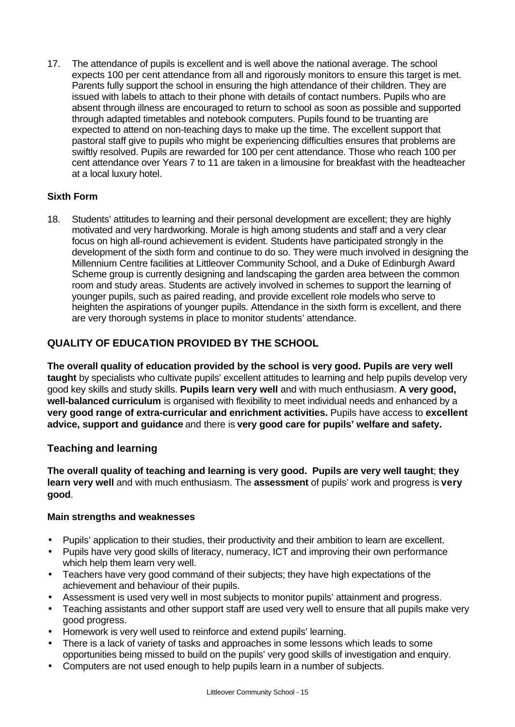17. The attendance of pupils is excellent and is well above the national average. The school expects 100 per cent attendance from all and rigorously monitors to ensure this target is met. Parents fully support the school in ensuring the high attendance of their children. They are issued with labels to attach to their phone with details of contact numbers. Pupils who are absent through illness are encouraged to return to school as soon as possible and supported through adapted timetables and notebook computers. Pupils found to be truanting are expected to attend on non-teaching days to make up the time. The excellent support that pastoral staff give to pupils who might be experiencing difficulties ensures that problems are swiftly resolved. Pupils are rewarded for 100 per cent attendance. Those who reach 100 per cent attendance over Years 7 to 11 are taken in a limousine for breakfast with the headteacher at a local luxury hotel.

### **Sixth Form**

18. Students' attitudes to learning and their personal development are excellent; they are highly motivated and very hardworking. Morale is high among students and staff and a very clear focus on high all-round achievement is evident. Students have participated strongly in the development of the sixth form and continue to do so. They were much involved in designing the Millennium Centre facilities at Littleover Community School, and a Duke of Edinburgh Award Scheme group is currently designing and landscaping the garden area between the common room and study areas. Students are actively involved in schemes to support the learning of younger pupils, such as paired reading, and provide excellent role models who serve to heighten the aspirations of younger pupils. Attendance in the sixth form is excellent, and there are very thorough systems in place to monitor students' attendance.

## **QUALITY OF EDUCATION PROVIDED BY THE SCHOOL**

**The overall quality of education provided by the school is very good. Pupils are very well taught** by specialists who cultivate pupils' excellent attitudes to learning and help pupils develop very good key skills and study skills. **Pupils learn very well** and with much enthusiasm. **A very good, well-balanced curriculum** is organised with flexibility to meet individual needs and enhanced by a **very good range of extra-curricular and enrichment activities.** Pupils have access to **excellent advice, support and guidance** and there is **very good care for pupils' welfare and safety.** 

### **Teaching and learning**

**The overall quality of teaching and learning is very good. Pupils are very well taught**; **they learn very well** and with much enthusiasm. The **assessment** of pupils' work and progress is **very good**.

#### **Main strengths and weaknesses**

- Pupils' application to their studies, their productivity and their ambition to learn are excellent.
- Pupils have very good skills of literacy, numeracy, ICT and improving their own performance which help them learn very well.
- Teachers have very good command of their subjects; they have high expectations of the achievement and behaviour of their pupils.
- Assessment is used very well in most subjects to monitor pupils' attainment and progress.
- Teaching assistants and other support staff are used very well to ensure that all pupils make very good progress.
- Homework is very well used to reinforce and extend pupils' learning.
- There is a lack of variety of tasks and approaches in some lessons which leads to some opportunities being missed to build on the pupils' very good skills of investigation and enquiry.
- Computers are not used enough to help pupils learn in a number of subjects.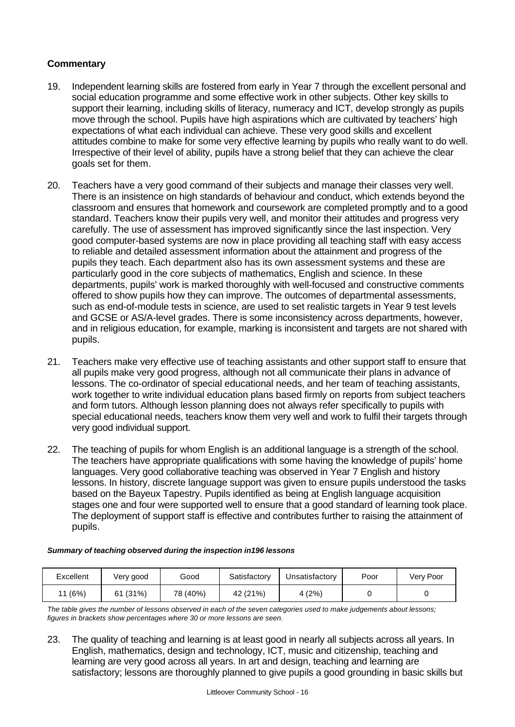#### **Commentary**

- 19. Independent learning skills are fostered from early in Year 7 through the excellent personal and social education programme and some effective work in other subjects. Other key skills to support their learning, including skills of literacy, numeracy and ICT, develop strongly as pupils move through the school. Pupils have high aspirations which are cultivated by teachers' high expectations of what each individual can achieve. These very good skills and excellent attitudes combine to make for some very effective learning by pupils who really want to do well. Irrespective of their level of ability, pupils have a strong belief that they can achieve the clear goals set for them.
- 20. Teachers have a very good command of their subjects and manage their classes very well. There is an insistence on high standards of behaviour and conduct, which extends beyond the classroom and ensures that homework and coursework are completed promptly and to a good standard. Teachers know their pupils very well, and monitor their attitudes and progress very carefully. The use of assessment has improved significantly since the last inspection. Very good computer-based systems are now in place providing all teaching staff with easy access to reliable and detailed assessment information about the attainment and progress of the pupils they teach. Each department also has its own assessment systems and these are particularly good in the core subjects of mathematics, English and science. In these departments, pupils' work is marked thoroughly with well-focused and constructive comments offered to show pupils how they can improve. The outcomes of departmental assessments, such as end-of-module tests in science, are used to set realistic targets in Year 9 test levels and GCSE or AS/A-level grades. There is some inconsistency across departments, however, and in religious education, for example, marking is inconsistent and targets are not shared with pupils.
- 21. Teachers make very effective use of teaching assistants and other support staff to ensure that all pupils make very good progress, although not all communicate their plans in advance of lessons. The co-ordinator of special educational needs, and her team of teaching assistants, work together to write individual education plans based firmly on reports from subject teachers and form tutors. Although lesson planning does not always refer specifically to pupils with special educational needs, teachers know them very well and work to fulfil their targets through very good individual support.
- 22. The teaching of pupils for whom English is an additional language is a strength of the school. The teachers have appropriate qualifications with some having the knowledge of pupils' home languages. Very good collaborative teaching was observed in Year 7 English and history lessons. In history, discrete language support was given to ensure pupils understood the tasks based on the Bayeux Tapestry. Pupils identified as being at English language acquisition stages one and four were supported well to ensure that a good standard of learning took place. The deployment of support staff is effective and contributes further to raising the attainment of pupils.

| Excellent | Very good | Good     | Satisfactory | Unsatisfactory | Poor | Very Poor |
|-----------|-----------|----------|--------------|----------------|------|-----------|
| 11 (6%)   | 61 (31%)  | 78 (40%) | 42 (21%)     | 4 (2%)         |      |           |

*Summary of teaching observed during the inspection in196 lessons*

*The table gives the number of lessons observed in each of the seven categories used to make judgements about lessons; figures in brackets show percentages where 30 or more lessons are seen.*

23. The quality of teaching and learning is at least good in nearly all subjects across all years. In English, mathematics, design and technology, ICT, music and citizenship, teaching and learning are very good across all years. In art and design, teaching and learning are satisfactory; lessons are thoroughly planned to give pupils a good grounding in basic skills but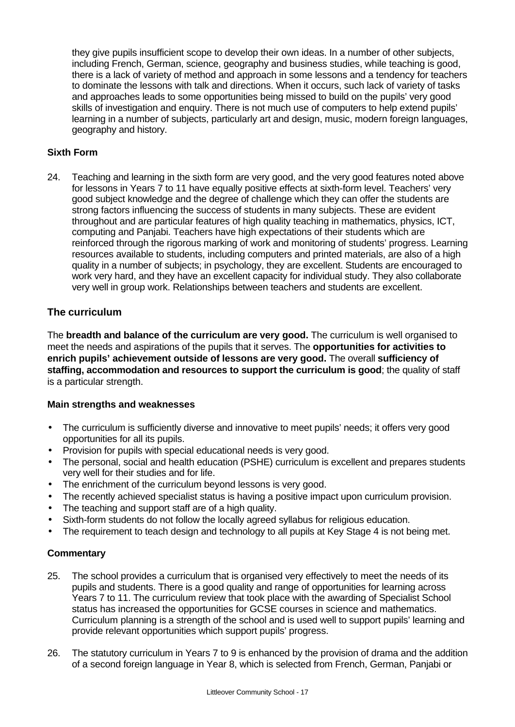they give pupils insufficient scope to develop their own ideas. In a number of other subjects, including French, German, science, geography and business studies, while teaching is good, there is a lack of variety of method and approach in some lessons and a tendency for teachers to dominate the lessons with talk and directions. When it occurs, such lack of variety of tasks and approaches leads to some opportunities being missed to build on the pupils' very good skills of investigation and enquiry. There is not much use of computers to help extend pupils' learning in a number of subjects, particularly art and design, music, modern foreign languages, geography and history.

#### **Sixth Form**

24. Teaching and learning in the sixth form are very good, and the very good features noted above for lessons in Years 7 to 11 have equally positive effects at sixth-form level. Teachers' very good subject knowledge and the degree of challenge which they can offer the students are strong factors influencing the success of students in many subjects. These are evident throughout and are particular features of high quality teaching in mathematics, physics, ICT, computing and Panjabi. Teachers have high expectations of their students which are reinforced through the rigorous marking of work and monitoring of students' progress. Learning resources available to students, including computers and printed materials, are also of a high quality in a number of subjects; in psychology, they are excellent. Students are encouraged to work very hard, and they have an excellent capacity for individual study. They also collaborate very well in group work. Relationships between teachers and students are excellent.

### **The curriculum**

The **breadth and balance of the curriculum are very good.** The curriculum is well organised to meet the needs and aspirations of the pupils that it serves. The **opportunities for activities to enrich pupils' achievement outside of lessons are very good.** The overall **sufficiency of staffing, accommodation and resources to support the curriculum is good**; the quality of staff is a particular strength.

#### **Main strengths and weaknesses**

- The curriculum is sufficiently diverse and innovative to meet pupils' needs; it offers very good opportunities for all its pupils.
- Provision for pupils with special educational needs is very good.
- The personal, social and health education (PSHE) curriculum is excellent and prepares students very well for their studies and for life.
- The enrichment of the curriculum beyond lessons is very good.
- The recently achieved specialist status is having a positive impact upon curriculum provision.
- The teaching and support staff are of a high quality.
- Sixth-form students do not follow the locally agreed syllabus for religious education.
- The requirement to teach design and technology to all pupils at Key Stage 4 is not being met.

- 25. The school provides a curriculum that is organised very effectively to meet the needs of its pupils and students. There is a good quality and range of opportunities for learning across Years 7 to 11. The curriculum review that took place with the awarding of Specialist School status has increased the opportunities for GCSE courses in science and mathematics. Curriculum planning is a strength of the school and is used well to support pupils' learning and provide relevant opportunities which support pupils' progress.
- 26. The statutory curriculum in Years 7 to 9 is enhanced by the provision of drama and the addition of a second foreign language in Year 8, which is selected from French, German, Panjabi or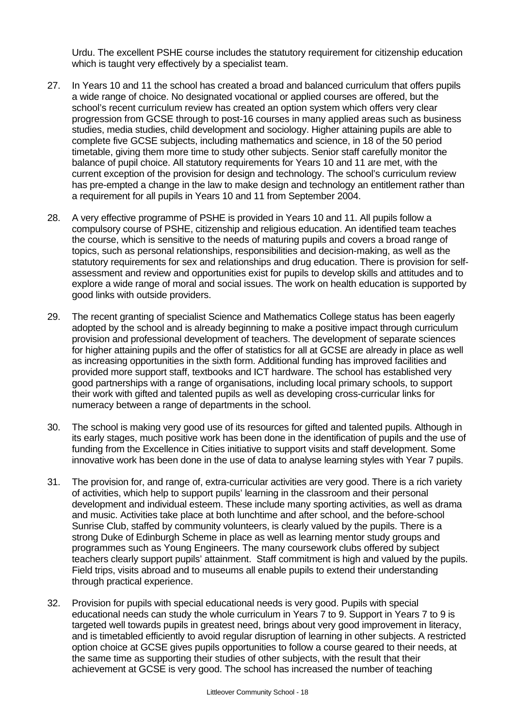Urdu. The excellent PSHE course includes the statutory requirement for citizenship education which is taught very effectively by a specialist team.

- 27. In Years 10 and 11 the school has created a broad and balanced curriculum that offers pupils a wide range of choice. No designated vocational or applied courses are offered, but the school's recent curriculum review has created an option system which offers very clear progression from GCSE through to post-16 courses in many applied areas such as business studies, media studies, child development and sociology. Higher attaining pupils are able to complete five GCSE subjects, including mathematics and science, in 18 of the 50 period timetable, giving them more time to study other subjects. Senior staff carefully monitor the balance of pupil choice. All statutory requirements for Years 10 and 11 are met, with the current exception of the provision for design and technology. The school's curriculum review has pre-empted a change in the law to make design and technology an entitlement rather than a requirement for all pupils in Years 10 and 11 from September 2004.
- 28. A very effective programme of PSHE is provided in Years 10 and 11. All pupils follow a compulsory course of PSHE, citizenship and religious education. An identified team teaches the course, which is sensitive to the needs of maturing pupils and covers a broad range of topics, such as personal relationships, responsibilities and decision-making, as well as the statutory requirements for sex and relationships and drug education. There is provision for selfassessment and review and opportunities exist for pupils to develop skills and attitudes and to explore a wide range of moral and social issues. The work on health education is supported by good links with outside providers.
- 29. The recent granting of specialist Science and Mathematics College status has been eagerly adopted by the school and is already beginning to make a positive impact through curriculum provision and professional development of teachers. The development of separate sciences for higher attaining pupils and the offer of statistics for all at GCSE are already in place as well as increasing opportunities in the sixth form. Additional funding has improved facilities and provided more support staff, textbooks and ICT hardware. The school has established very good partnerships with a range of organisations, including local primary schools, to support their work with gifted and talented pupils as well as developing cross-curricular links for numeracy between a range of departments in the school.
- 30. The school is making very good use of its resources for gifted and talented pupils. Although in its early stages, much positive work has been done in the identification of pupils and the use of funding from the Excellence in Cities initiative to support visits and staff development. Some innovative work has been done in the use of data to analyse learning styles with Year 7 pupils.
- 31. The provision for, and range of, extra-curricular activities are very good. There is a rich variety of activities, which help to support pupils' learning in the classroom and their personal development and individual esteem. These include many sporting activities, as well as drama and music. Activities take place at both lunchtime and after school, and the before-school Sunrise Club, staffed by community volunteers, is clearly valued by the pupils. There is a strong Duke of Edinburgh Scheme in place as well as learning mentor study groups and programmes such as Young Engineers. The many coursework clubs offered by subject teachers clearly support pupils' attainment. Staff commitment is high and valued by the pupils. Field trips, visits abroad and to museums all enable pupils to extend their understanding through practical experience.
- 32. Provision for pupils with special educational needs is very good. Pupils with special educational needs can study the whole curriculum in Years 7 to 9. Support in Years 7 to 9 is targeted well towards pupils in greatest need, brings about very good improvement in literacy, and is timetabled efficiently to avoid regular disruption of learning in other subjects. A restricted option choice at GCSE gives pupils opportunities to follow a course geared to their needs, at the same time as supporting their studies of other subjects, with the result that their achievement at GCSE is very good. The school has increased the number of teaching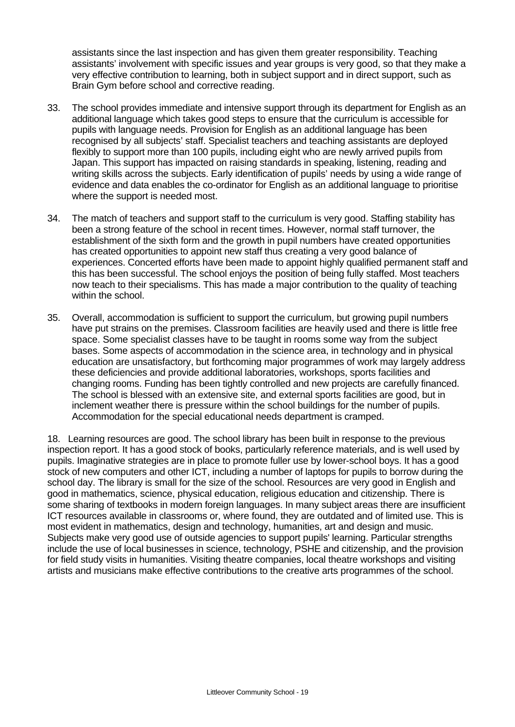assistants since the last inspection and has given them greater responsibility. Teaching assistants' involvement with specific issues and year groups is very good, so that they make a very effective contribution to learning, both in subject support and in direct support, such as Brain Gym before school and corrective reading.

- 33. The school provides immediate and intensive support through its department for English as an additional language which takes good steps to ensure that the curriculum is accessible for pupils with language needs. Provision for English as an additional language has been recognised by all subjects' staff. Specialist teachers and teaching assistants are deployed flexibly to support more than 100 pupils, including eight who are newly arrived pupils from Japan. This support has impacted on raising standards in speaking, listening, reading and writing skills across the subjects. Early identification of pupils' needs by using a wide range of evidence and data enables the co-ordinator for English as an additional language to prioritise where the support is needed most.
- 34. The match of teachers and support staff to the curriculum is very good. Staffing stability has been a strong feature of the school in recent times. However, normal staff turnover, the establishment of the sixth form and the growth in pupil numbers have created opportunities has created opportunities to appoint new staff thus creating a very good balance of experiences. Concerted efforts have been made to appoint highly qualified permanent staff and this has been successful. The school enjoys the position of being fully staffed. Most teachers now teach to their specialisms. This has made a major contribution to the quality of teaching within the school.
- 35. Overall, accommodation is sufficient to support the curriculum, but growing pupil numbers have put strains on the premises. Classroom facilities are heavily used and there is little free space. Some specialist classes have to be taught in rooms some way from the subject bases. Some aspects of accommodation in the science area, in technology and in physical education are unsatisfactory, but forthcoming major programmes of work may largely address these deficiencies and provide additional laboratories, workshops, sports facilities and changing rooms. Funding has been tightly controlled and new projects are carefully financed. The school is blessed with an extensive site, and external sports facilities are good, but in inclement weather there is pressure within the school buildings for the number of pupils. Accommodation for the special educational needs department is cramped.

18. Learning resources are good. The school library has been built in response to the previous inspection report. It has a good stock of books, particularly reference materials, and is well used by pupils. Imaginative strategies are in place to promote fuller use by lower-school boys. It has a good stock of new computers and other ICT, including a number of laptops for pupils to borrow during the school day. The library is small for the size of the school. Resources are very good in English and good in mathematics, science, physical education, religious education and citizenship. There is some sharing of textbooks in modern foreign languages. In many subject areas there are insufficient ICT resources available in classrooms or, where found, they are outdated and of limited use. This is most evident in mathematics, design and technology, humanities, art and design and music. Subjects make very good use of outside agencies to support pupils' learning. Particular strengths include the use of local businesses in science, technology, PSHE and citizenship, and the provision for field study visits in humanities. Visiting theatre companies, local theatre workshops and visiting artists and musicians make effective contributions to the creative arts programmes of the school.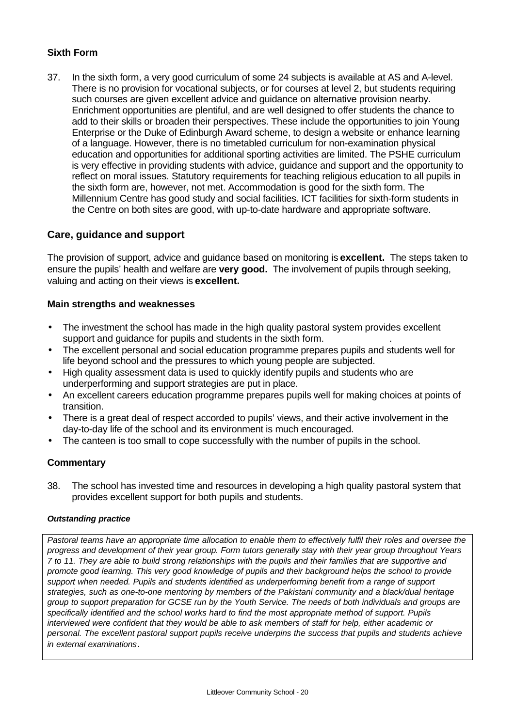## **Sixth Form**

37. In the sixth form, a very good curriculum of some 24 subjects is available at AS and A-level. There is no provision for vocational subjects, or for courses at level 2, but students requiring such courses are given excellent advice and guidance on alternative provision nearby. Enrichment opportunities are plentiful, and are well designed to offer students the chance to add to their skills or broaden their perspectives. These include the opportunities to join Young Enterprise or the Duke of Edinburgh Award scheme, to design a website or enhance learning of a language. However, there is no timetabled curriculum for non-examination physical education and opportunities for additional sporting activities are limited. The PSHE curriculum is very effective in providing students with advice, guidance and support and the opportunity to reflect on moral issues. Statutory requirements for teaching religious education to all pupils in the sixth form are, however, not met. Accommodation is good for the sixth form. The Millennium Centre has good study and social facilities. ICT facilities for sixth-form students in the Centre on both sites are good, with up-to-date hardware and appropriate software.

### **Care, guidance and support**

The provision of support, advice and guidance based on monitoring is **excellent.** The steps taken to ensure the pupils' health and welfare are **very good.** The involvement of pupils through seeking, valuing and acting on their views is **excellent.**

#### **Main strengths and weaknesses**

- The investment the school has made in the high quality pastoral system provides excellent support and quidance for pupils and students in the sixth form.
- The excellent personal and social education programme prepares pupils and students well for life beyond school and the pressures to which young people are subjected.
- High quality assessment data is used to quickly identify pupils and students who are underperforming and support strategies are put in place.
- An excellent careers education programme prepares pupils well for making choices at points of transition.
- There is a great deal of respect accorded to pupils' views, and their active involvement in the day-to-day life of the school and its environment is much encouraged.
- The canteen is too small to cope successfully with the number of pupils in the school.

### **Commentary**

38. The school has invested time and resources in developing a high quality pastoral system that provides excellent support for both pupils and students.

#### *Outstanding practice*

*Pastoral teams have an appropriate time allocation to enable them to effectively fulfil their roles and oversee the progress and development of their year group. Form tutors generally stay with their year group throughout Years 7 to 11. They are able to build strong relationships with the pupils and their families that are supportive and promote good learning. This very good knowledge of pupils and their background helps the school to provide support when needed. Pupils and students identified as underperforming benefit from a range of support strategies, such as one-to-one mentoring by members of the Pakistani community and a black/dual heritage group to support preparation for GCSE run by the Youth Service. The needs of both individuals and groups are specifically identified and the school works hard to find the most appropriate method of support. Pupils interviewed were confident that they would be able to ask members of staff for help, either academic or personal. The excellent pastoral support pupils receive underpins the success that pupils and students achieve in external examinations*.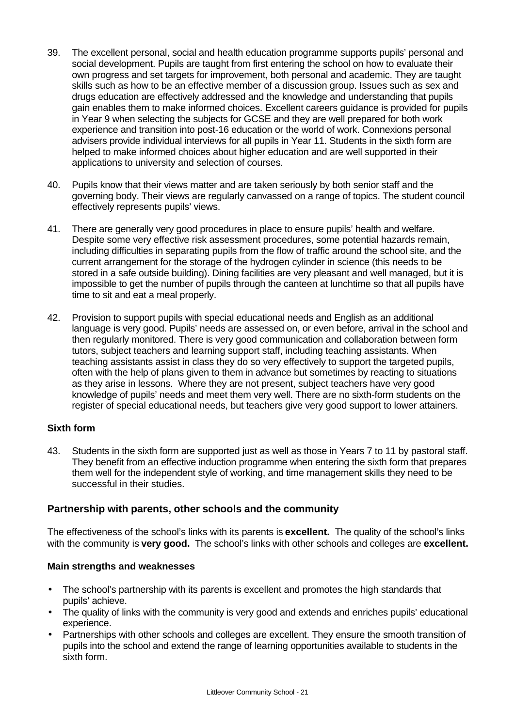- 39. The excellent personal, social and health education programme supports pupils' personal and social development. Pupils are taught from first entering the school on how to evaluate their own progress and set targets for improvement, both personal and academic. They are taught skills such as how to be an effective member of a discussion group. Issues such as sex and drugs education are effectively addressed and the knowledge and understanding that pupils gain enables them to make informed choices. Excellent careers guidance is provided for pupils in Year 9 when selecting the subjects for GCSE and they are well prepared for both work experience and transition into post-16 education or the world of work. Connexions personal advisers provide individual interviews for all pupils in Year 11. Students in the sixth form are helped to make informed choices about higher education and are well supported in their applications to university and selection of courses.
- 40. Pupils know that their views matter and are taken seriously by both senior staff and the governing body. Their views are regularly canvassed on a range of topics. The student council effectively represents pupils' views.
- 41. There are generally very good procedures in place to ensure pupils' health and welfare. Despite some very effective risk assessment procedures, some potential hazards remain, including difficulties in separating pupils from the flow of traffic around the school site, and the current arrangement for the storage of the hydrogen cylinder in science (this needs to be stored in a safe outside building). Dining facilities are very pleasant and well managed, but it is impossible to get the number of pupils through the canteen at lunchtime so that all pupils have time to sit and eat a meal properly.
- 42. Provision to support pupils with special educational needs and English as an additional language is very good. Pupils' needs are assessed on, or even before, arrival in the school and then regularly monitored. There is very good communication and collaboration between form tutors, subject teachers and learning support staff, including teaching assistants. When teaching assistants assist in class they do so very effectively to support the targeted pupils, often with the help of plans given to them in advance but sometimes by reacting to situations as they arise in lessons. Where they are not present, subject teachers have very good knowledge of pupils' needs and meet them very well. There are no sixth-form students on the register of special educational needs, but teachers give very good support to lower attainers.

#### **Sixth form**

43. Students in the sixth form are supported just as well as those in Years 7 to 11 by pastoral staff. They benefit from an effective induction programme when entering the sixth form that prepares them well for the independent style of working, and time management skills they need to be successful in their studies.

#### **Partnership with parents, other schools and the community**

The effectiveness of the school's links with its parents is **excellent.** The quality of the school's links with the community is **very good.** The school's links with other schools and colleges are **excellent.**

#### **Main strengths and weaknesses**

- The school's partnership with its parents is excellent and promotes the high standards that pupils' achieve.
- The quality of links with the community is very good and extends and enriches pupils' educational experience.
- Partnerships with other schools and colleges are excellent. They ensure the smooth transition of pupils into the school and extend the range of learning opportunities available to students in the sixth form.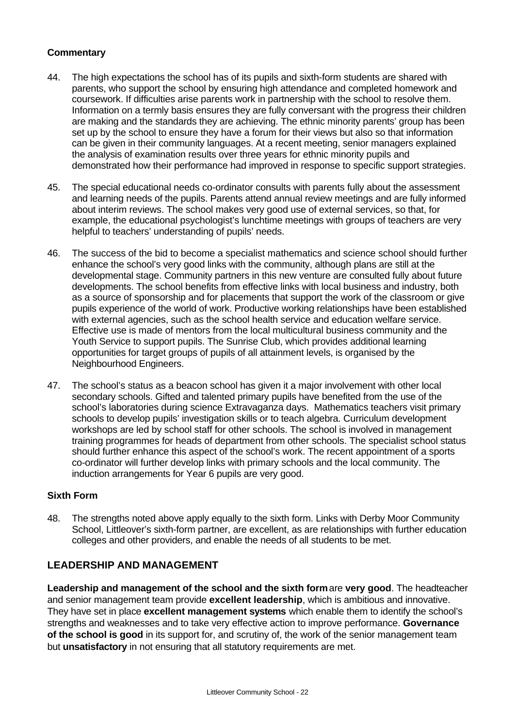#### **Commentary**

- 44. The high expectations the school has of its pupils and sixth-form students are shared with parents, who support the school by ensuring high attendance and completed homework and coursework. If difficulties arise parents work in partnership with the school to resolve them. Information on a termly basis ensures they are fully conversant with the progress their children are making and the standards they are achieving. The ethnic minority parents' group has been set up by the school to ensure they have a forum for their views but also so that information can be given in their community languages. At a recent meeting, senior managers explained the analysis of examination results over three years for ethnic minority pupils and demonstrated how their performance had improved in response to specific support strategies.
- 45. The special educational needs co-ordinator consults with parents fully about the assessment and learning needs of the pupils. Parents attend annual review meetings and are fully informed about interim reviews. The school makes very good use of external services, so that, for example, the educational psychologist's lunchtime meetings with groups of teachers are very helpful to teachers' understanding of pupils' needs.
- 46. The success of the bid to become a specialist mathematics and science school should further enhance the school's very good links with the community, although plans are still at the developmental stage. Community partners in this new venture are consulted fully about future developments. The school benefits from effective links with local business and industry, both as a source of sponsorship and for placements that support the work of the classroom or give pupils experience of the world of work. Productive working relationships have been established with external agencies, such as the school health service and education welfare service. Effective use is made of mentors from the local multicultural business community and the Youth Service to support pupils. The Sunrise Club, which provides additional learning opportunities for target groups of pupils of all attainment levels, is organised by the Neighbourhood Engineers.
- 47. The school's status as a beacon school has given it a major involvement with other local secondary schools. Gifted and talented primary pupils have benefited from the use of the school's laboratories during science Extravaganza days. Mathematics teachers visit primary schools to develop pupils' investigation skills or to teach algebra. Curriculum development workshops are led by school staff for other schools. The school is involved in management training programmes for heads of department from other schools. The specialist school status should further enhance this aspect of the school's work. The recent appointment of a sports co-ordinator will further develop links with primary schools and the local community. The induction arrangements for Year 6 pupils are very good.

#### **Sixth Form**

48. The strengths noted above apply equally to the sixth form. Links with Derby Moor Community School, Littleover's sixth-form partner, are excellent, as are relationships with further education colleges and other providers, and enable the needs of all students to be met.

### **LEADERSHIP AND MANAGEMENT**

**Leadership and management of the school and the sixth form** are **very good**. The headteacher and senior management team provide **excellent leadership**, which is ambitious and innovative. They have set in place **excellent management systems** which enable them to identify the school's strengths and weaknesses and to take very effective action to improve performance. **Governance of the school is good** in its support for, and scrutiny of, the work of the senior management team but **unsatisfactory** in not ensuring that all statutory requirements are met.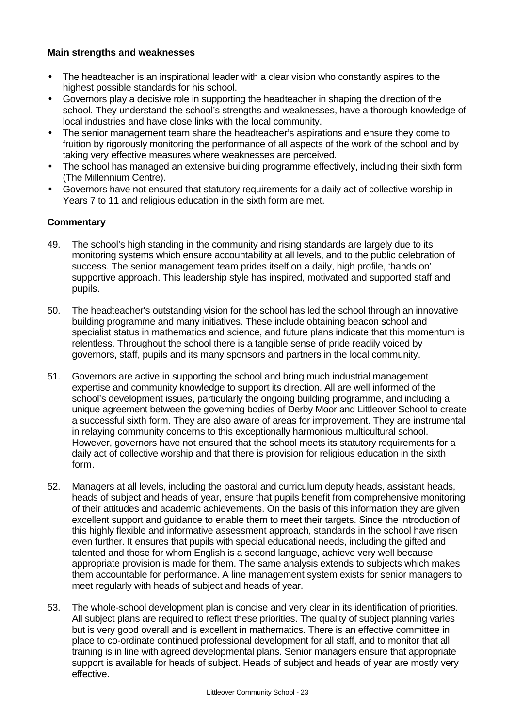#### **Main strengths and weaknesses**

- The headteacher is an inspirational leader with a clear vision who constantly aspires to the highest possible standards for his school.
- Governors play a decisive role in supporting the headteacher in shaping the direction of the school. They understand the school's strengths and weaknesses, have a thorough knowledge of local industries and have close links with the local community.
- The senior management team share the headteacher's aspirations and ensure they come to fruition by rigorously monitoring the performance of all aspects of the work of the school and by taking very effective measures where weaknesses are perceived.
- The school has managed an extensive building programme effectively, including their sixth form (The Millennium Centre).
- Governors have not ensured that statutory requirements for a daily act of collective worship in Years 7 to 11 and religious education in the sixth form are met.

- 49. The school's high standing in the community and rising standards are largely due to its monitoring systems which ensure accountability at all levels, and to the public celebration of success. The senior management team prides itself on a daily, high profile, 'hands on' supportive approach. This leadership style has inspired, motivated and supported staff and pupils.
- 50. The headteacher's outstanding vision for the school has led the school through an innovative building programme and many initiatives. These include obtaining beacon school and specialist status in mathematics and science, and future plans indicate that this momentum is relentless. Throughout the school there is a tangible sense of pride readily voiced by governors, staff, pupils and its many sponsors and partners in the local community.
- 51. Governors are active in supporting the school and bring much industrial management expertise and community knowledge to support its direction. All are well informed of the school's development issues, particularly the ongoing building programme, and including a unique agreement between the governing bodies of Derby Moor and Littleover School to create a successful sixth form. They are also aware of areas for improvement. They are instrumental in relaying community concerns to this exceptionally harmonious multicultural school. However, governors have not ensured that the school meets its statutory requirements for a daily act of collective worship and that there is provision for religious education in the sixth form.
- 52. Managers at all levels, including the pastoral and curriculum deputy heads, assistant heads, heads of subject and heads of year, ensure that pupils benefit from comprehensive monitoring of their attitudes and academic achievements. On the basis of this information they are given excellent support and guidance to enable them to meet their targets. Since the introduction of this highly flexible and informative assessment approach, standards in the school have risen even further. It ensures that pupils with special educational needs, including the gifted and talented and those for whom English is a second language, achieve very well because appropriate provision is made for them. The same analysis extends to subjects which makes them accountable for performance. A line management system exists for senior managers to meet regularly with heads of subject and heads of year.
- 53. The whole-school development plan is concise and very clear in its identification of priorities. All subject plans are required to reflect these priorities. The quality of subject planning varies but is very good overall and is excellent in mathematics. There is an effective committee in place to co-ordinate continued professional development for all staff, and to monitor that all training is in line with agreed developmental plans. Senior managers ensure that appropriate support is available for heads of subject. Heads of subject and heads of year are mostly very effective.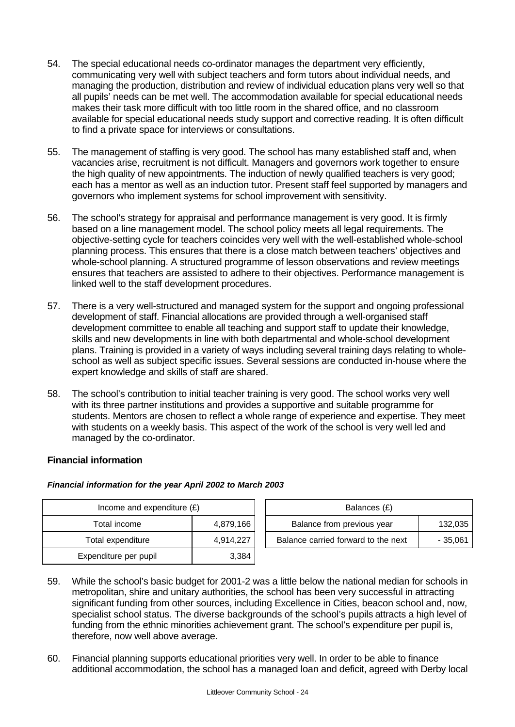- 54. The special educational needs co-ordinator manages the department very efficiently, communicating very well with subject teachers and form tutors about individual needs, and managing the production, distribution and review of individual education plans very well so that all pupils' needs can be met well. The accommodation available for special educational needs makes their task more difficult with too little room in the shared office, and no classroom available for special educational needs study support and corrective reading. It is often difficult to find a private space for interviews or consultations.
- 55. The management of staffing is very good. The school has many established staff and, when vacancies arise, recruitment is not difficult. Managers and governors work together to ensure the high quality of new appointments. The induction of newly qualified teachers is very good; each has a mentor as well as an induction tutor. Present staff feel supported by managers and governors who implement systems for school improvement with sensitivity.
- 56. The school's strategy for appraisal and performance management is very good. It is firmly based on a line management model. The school policy meets all legal requirements. The objective-setting cycle for teachers coincides very well with the well-established whole-school planning process. This ensures that there is a close match between teachers' objectives and whole-school planning. A structured programme of lesson observations and review meetings ensures that teachers are assisted to adhere to their objectives. Performance management is linked well to the staff development procedures.
- 57. There is a very well-structured and managed system for the support and ongoing professional development of staff. Financial allocations are provided through a well-organised staff development committee to enable all teaching and support staff to update their knowledge, skills and new developments in line with both departmental and whole-school development plans. Training is provided in a variety of ways including several training days relating to wholeschool as well as subject specific issues. Several sessions are conducted in-house where the expert knowledge and skills of staff are shared.
- 58. The school's contribution to initial teacher training is very good. The school works very well with its three partner institutions and provides a supportive and suitable programme for students. Mentors are chosen to reflect a whole range of experience and expertise. They meet with students on a weekly basis. This aspect of the work of the school is very well led and managed by the co-ordinator.

### **Financial information**

#### *Financial information for the year April 2002 to March 2003*

| Income and expenditure $(E)$ |           |  | Balances (£)                        |          |  |  |
|------------------------------|-----------|--|-------------------------------------|----------|--|--|
| Total income                 | 4,879,166 |  | Balance from previous year          | 132,035  |  |  |
| Total expenditure            | 4,914,227 |  | Balance carried forward to the next | - 35,061 |  |  |
| Expenditure per pupil        | 3,384     |  |                                     |          |  |  |

- 59. While the school's basic budget for 2001-2 was a little below the national median for schools in metropolitan, shire and unitary authorities, the school has been very successful in attracting significant funding from other sources, including Excellence in Cities, beacon school and, now, specialist school status. The diverse backgrounds of the school's pupils attracts a high level of funding from the ethnic minorities achievement grant. The school's expenditure per pupil is, therefore, now well above average.
- 60. Financial planning supports educational priorities very well. In order to be able to finance additional accommodation, the school has a managed loan and deficit, agreed with Derby local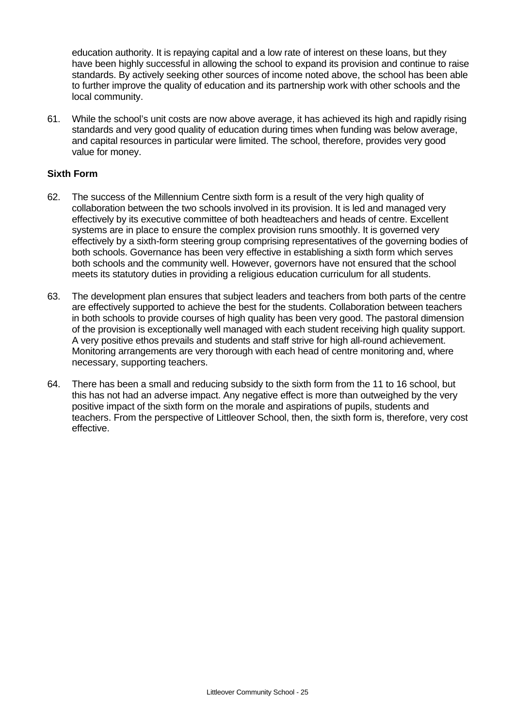education authority. It is repaying capital and a low rate of interest on these loans, but they have been highly successful in allowing the school to expand its provision and continue to raise standards. By actively seeking other sources of income noted above, the school has been able to further improve the quality of education and its partnership work with other schools and the local community.

61. While the school's unit costs are now above average, it has achieved its high and rapidly rising standards and very good quality of education during times when funding was below average, and capital resources in particular were limited. The school, therefore, provides very good value for money.

#### **Sixth Form**

- 62. The success of the Millennium Centre sixth form is a result of the very high quality of collaboration between the two schools involved in its provision. It is led and managed very effectively by its executive committee of both headteachers and heads of centre. Excellent systems are in place to ensure the complex provision runs smoothly. It is governed very effectively by a sixth-form steering group comprising representatives of the governing bodies of both schools. Governance has been very effective in establishing a sixth form which serves both schools and the community well. However, governors have not ensured that the school meets its statutory duties in providing a religious education curriculum for all students.
- 63. The development plan ensures that subject leaders and teachers from both parts of the centre are effectively supported to achieve the best for the students. Collaboration between teachers in both schools to provide courses of high quality has been very good. The pastoral dimension of the provision is exceptionally well managed with each student receiving high quality support. A very positive ethos prevails and students and staff strive for high all-round achievement. Monitoring arrangements are very thorough with each head of centre monitoring and, where necessary, supporting teachers.
- 64. There has been a small and reducing subsidy to the sixth form from the 11 to 16 school, but this has not had an adverse impact. Any negative effect is more than outweighed by the very positive impact of the sixth form on the morale and aspirations of pupils, students and teachers. From the perspective of Littleover School, then, the sixth form is, therefore, very cost effective.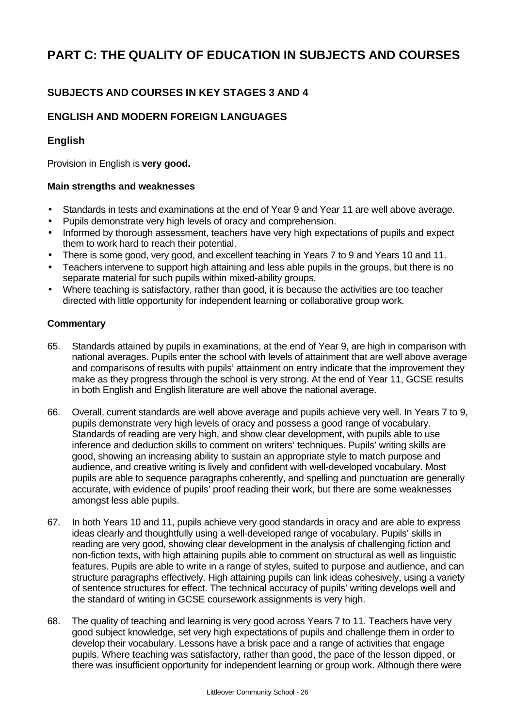# **PART C: THE QUALITY OF EDUCATION IN SUBJECTS AND COURSES**

## **SUBJECTS AND COURSES IN KEY STAGES 3 AND 4**

## **ENGLISH AND MODERN FOREIGN LANGUAGES**

## **English**

Provision in English is **very good.**

#### **Main strengths and weaknesses**

- Standards in tests and examinations at the end of Year 9 and Year 11 are well above average.
- Pupils demonstrate very high levels of oracy and comprehension.
- Informed by thorough assessment, teachers have very high expectations of pupils and expect them to work hard to reach their potential.
- There is some good, very good, and excellent teaching in Years 7 to 9 and Years 10 and 11.
- Teachers intervene to support high attaining and less able pupils in the groups, but there is no separate material for such pupils within mixed-ability groups.
- Where teaching is satisfactory, rather than good, it is because the activities are too teacher directed with little opportunity for independent learning or collaborative group work.

- 65. Standards attained by pupils in examinations, at the end of Year 9, are high in comparison with national averages. Pupils enter the school with levels of attainment that are well above average and comparisons of results with pupils' attainment on entry indicate that the improvement they make as they progress through the school is very strong. At the end of Year 11, GCSE results in both English and English literature are well above the national average.
- 66. Overall, current standards are well above average and pupils achieve very well. In Years 7 to 9, pupils demonstrate very high levels of oracy and possess a good range of vocabulary. Standards of reading are very high, and show clear development, with pupils able to use inference and deduction skills to comment on writers' techniques. Pupils' writing skills are good, showing an increasing ability to sustain an appropriate style to match purpose and audience, and creative writing is lively and confident with well-developed vocabulary. Most pupils are able to sequence paragraphs coherently, and spelling and punctuation are generally accurate, with evidence of pupils' proof reading their work, but there are some weaknesses amongst less able pupils.
- 67. In both Years 10 and 11, pupils achieve very good standards in oracy and are able to express ideas clearly and thoughtfully using a well-developed range of vocabulary. Pupils' skills in reading are very good, showing clear development in the analysis of challenging fiction and non-fiction texts, with high attaining pupils able to comment on structural as well as linguistic features. Pupils are able to write in a range of styles, suited to purpose and audience, and can structure paragraphs effectively. High attaining pupils can link ideas cohesively, using a variety of sentence structures for effect. The technical accuracy of pupils' writing develops well and the standard of writing in GCSE coursework assignments is very high.
- 68. The quality of teaching and learning is very good across Years 7 to 11. Teachers have very good subject knowledge, set very high expectations of pupils and challenge them in order to develop their vocabulary. Lessons have a brisk pace and a range of activities that engage pupils. Where teaching was satisfactory, rather than good, the pace of the lesson dipped, or there was insufficient opportunity for independent learning or group work. Although there were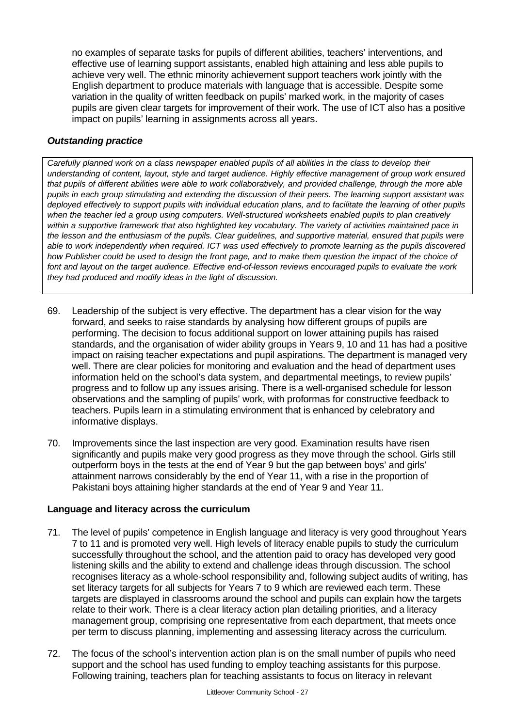no examples of separate tasks for pupils of different abilities, teachers' interventions, and effective use of learning support assistants, enabled high attaining and less able pupils to achieve very well. The ethnic minority achievement support teachers work jointly with the English department to produce materials with language that is accessible. Despite some variation in the quality of written feedback on pupils' marked work, in the majority of cases pupils are given clear targets for improvement of their work. The use of ICT also has a positive impact on pupils' learning in assignments across all years.

#### *Outstanding practice*

*Carefully planned work on a class newspaper enabled pupils of all abilities in the class to develop their understanding of content, layout, style and target audience. Highly effective management of group work ensured that pupils of different abilities were able to work collaboratively, and provided challenge, through the more able pupils in each group stimulating and extending the discussion of their peers. The learning support assistant was deployed effectively to support pupils with individual education plans, and to facilitate the learning of other pupils when the teacher led a group using computers. Well-structured worksheets enabled pupils to plan creatively within a supportive framework that also highlighted key vocabulary. The variety of activities maintained pace in the lesson and the enthusiasm of the pupils. Clear guidelines, and supportive material, ensured that pupils were able to work independently when required. ICT was used effectively to promote learning as the pupils discovered how Publisher could be used to design the front page, and to make them question the impact of the choice of font and layout on the target audience. Effective end-of-lesson reviews encouraged pupils to evaluate the work they had produced and modify ideas in the light of discussion.*

- 69. Leadership of the subject is very effective. The department has a clear vision for the way forward, and seeks to raise standards by analysing how different groups of pupils are performing. The decision to focus additional support on lower attaining pupils has raised standards, and the organisation of wider ability groups in Years 9, 10 and 11 has had a positive impact on raising teacher expectations and pupil aspirations. The department is managed very well. There are clear policies for monitoring and evaluation and the head of department uses information held on the school's data system, and departmental meetings, to review pupils' progress and to follow up any issues arising. There is a well-organised schedule for lesson observations and the sampling of pupils' work, with proformas for constructive feedback to teachers. Pupils learn in a stimulating environment that is enhanced by celebratory and informative displays.
- 70. Improvements since the last inspection are very good. Examination results have risen significantly and pupils make very good progress as they move through the school. Girls still outperform boys in the tests at the end of Year 9 but the gap between boys' and girls' attainment narrows considerably by the end of Year 11, with a rise in the proportion of Pakistani boys attaining higher standards at the end of Year 9 and Year 11.

### **Language and literacy across the curriculum**

- 71. The level of pupils' competence in English language and literacy is very good throughout Years 7 to 11 and is promoted very well. High levels of literacy enable pupils to study the curriculum successfully throughout the school, and the attention paid to oracy has developed very good listening skills and the ability to extend and challenge ideas through discussion. The school recognises literacy as a whole-school responsibility and, following subject audits of writing, has set literacy targets for all subjects for Years 7 to 9 which are reviewed each term. These targets are displayed in classrooms around the school and pupils can explain how the targets relate to their work. There is a clear literacy action plan detailing priorities, and a literacy management group, comprising one representative from each department, that meets once per term to discuss planning, implementing and assessing literacy across the curriculum.
- 72. The focus of the school's intervention action plan is on the small number of pupils who need support and the school has used funding to employ teaching assistants for this purpose. Following training, teachers plan for teaching assistants to focus on literacy in relevant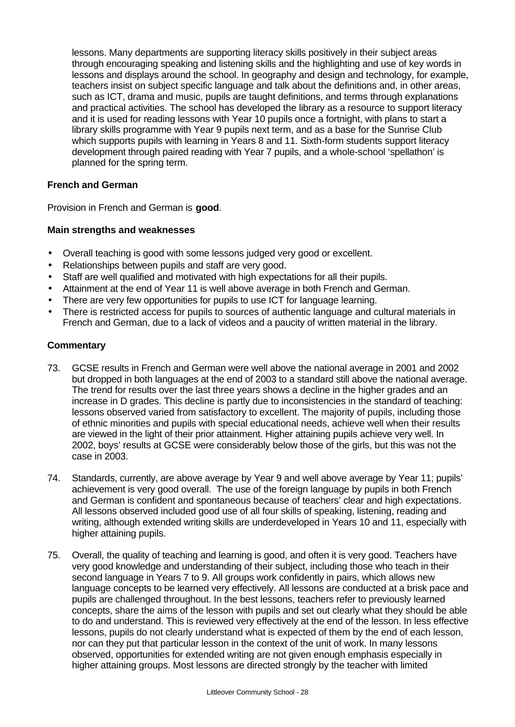lessons. Many departments are supporting literacy skills positively in their subject areas through encouraging speaking and listening skills and the highlighting and use of key words in lessons and displays around the school. In geography and design and technology, for example, teachers insist on subject specific language and talk about the definitions and, in other areas, such as ICT, drama and music, pupils are taught definitions, and terms through explanations and practical activities. The school has developed the library as a resource to support literacy and it is used for reading lessons with Year 10 pupils once a fortnight, with plans to start a library skills programme with Year 9 pupils next term, and as a base for the Sunrise Club which supports pupils with learning in Years 8 and 11. Sixth-form students support literacy development through paired reading with Year 7 pupils, and a whole-school 'spellathon' is planned for the spring term.

#### **French and German**

Provision in French and German is **good**.

#### **Main strengths and weaknesses**

- Overall teaching is good with some lessons judged very good or excellent.
- Relationships between pupils and staff are very good.
- Staff are well qualified and motivated with high expectations for all their pupils.
- Attainment at the end of Year 11 is well above average in both French and German.
- There are very few opportunities for pupils to use ICT for language learning.
- There is restricted access for pupils to sources of authentic language and cultural materials in French and German, due to a lack of videos and a paucity of written material in the library.

- 73. GCSE results in French and German were well above the national average in 2001 and 2002 but dropped in both languages at the end of 2003 to a standard still above the national average. The trend for results over the last three years shows a decline in the higher grades and an increase in D grades. This decline is partly due to inconsistencies in the standard of teaching: lessons observed varied from satisfactory to excellent. The majority of pupils, including those of ethnic minorities and pupils with special educational needs, achieve well when their results are viewed in the light of their prior attainment. Higher attaining pupils achieve very well. In 2002, boys' results at GCSE were considerably below those of the girls, but this was not the case in 2003.
- 74. Standards, currently, are above average by Year 9 and well above average by Year 11; pupils' achievement is very good overall. The use of the foreign language by pupils in both French and German is confident and spontaneous because of teachers' clear and high expectations. All lessons observed included good use of all four skills of speaking, listening, reading and writing, although extended writing skills are underdeveloped in Years 10 and 11, especially with higher attaining pupils.
- 75. Overall, the quality of teaching and learning is good, and often it is very good. Teachers have very good knowledge and understanding of their subject, including those who teach in their second language in Years 7 to 9. All groups work confidently in pairs, which allows new language concepts to be learned very effectively. All lessons are conducted at a brisk pace and pupils are challenged throughout. In the best lessons, teachers refer to previously learned concepts, share the aims of the lesson with pupils and set out clearly what they should be able to do and understand. This is reviewed very effectively at the end of the lesson. In less effective lessons, pupils do not clearly understand what is expected of them by the end of each lesson, nor can they put that particular lesson in the context of the unit of work. In many lessons observed, opportunities for extended writing are not given enough emphasis especially in higher attaining groups. Most lessons are directed strongly by the teacher with limited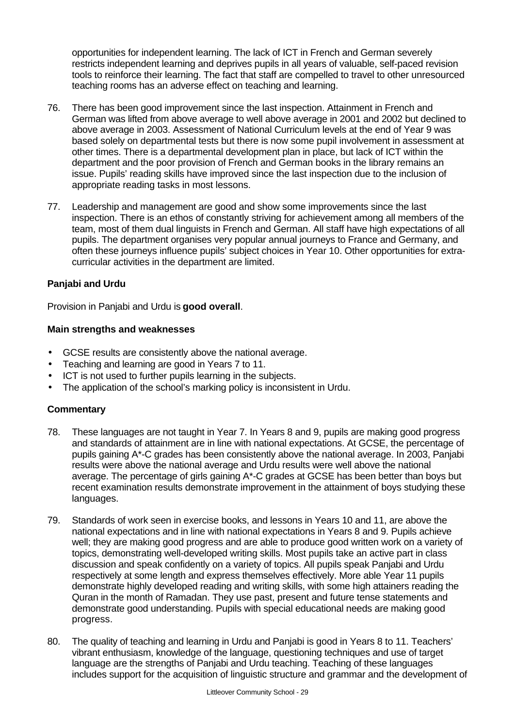opportunities for independent learning. The lack of ICT in French and German severely restricts independent learning and deprives pupils in all years of valuable, self-paced revision tools to reinforce their learning. The fact that staff are compelled to travel to other unresourced teaching rooms has an adverse effect on teaching and learning.

- 76. There has been good improvement since the last inspection. Attainment in French and German was lifted from above average to well above average in 2001 and 2002 but declined to above average in 2003. Assessment of National Curriculum levels at the end of Year 9 was based solely on departmental tests but there is now some pupil involvement in assessment at other times. There is a departmental development plan in place, but lack of ICT within the department and the poor provision of French and German books in the library remains an issue. Pupils' reading skills have improved since the last inspection due to the inclusion of appropriate reading tasks in most lessons.
- 77. Leadership and management are good and show some improvements since the last inspection. There is an ethos of constantly striving for achievement among all members of the team, most of them dual linguists in French and German. All staff have high expectations of all pupils. The department organises very popular annual journeys to France and Germany, and often these journeys influence pupils' subject choices in Year 10. Other opportunities for extracurricular activities in the department are limited.

#### **Panjabi and Urdu**

Provision in Panjabi and Urdu is **good overall**.

#### **Main strengths and weaknesses**

- GCSE results are consistently above the national average.
- Teaching and learning are good in Years 7 to 11.
- ICT is not used to further pupils learning in the subjects.
- The application of the school's marking policy is inconsistent in Urdu.

- 78. These languages are not taught in Year 7. In Years 8 and 9, pupils are making good progress and standards of attainment are in line with national expectations. At GCSE, the percentage of pupils gaining A\*-C grades has been consistently above the national average. In 2003, Panjabi results were above the national average and Urdu results were well above the national average. The percentage of girls gaining A\*-C grades at GCSE has been better than boys but recent examination results demonstrate improvement in the attainment of boys studying these languages.
- 79. Standards of work seen in exercise books, and lessons in Years 10 and 11, are above the national expectations and in line with national expectations in Years 8 and 9. Pupils achieve well; they are making good progress and are able to produce good written work on a variety of topics, demonstrating well-developed writing skills. Most pupils take an active part in class discussion and speak confidently on a variety of topics. All pupils speak Panjabi and Urdu respectively at some length and express themselves effectively. More able Year 11 pupils demonstrate highly developed reading and writing skills, with some high attainers reading the Quran in the month of Ramadan. They use past, present and future tense statements and demonstrate good understanding. Pupils with special educational needs are making good progress.
- 80. The quality of teaching and learning in Urdu and Panjabi is good in Years 8 to 11. Teachers' vibrant enthusiasm, knowledge of the language, questioning techniques and use of target language are the strengths of Panjabi and Urdu teaching. Teaching of these languages includes support for the acquisition of linguistic structure and grammar and the development of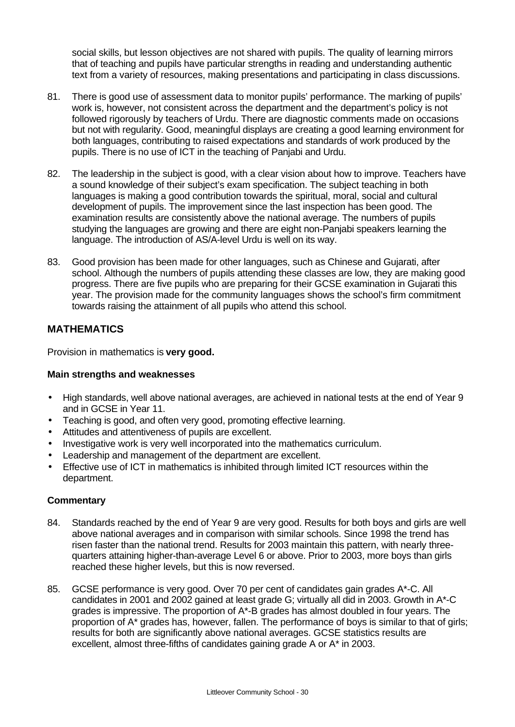social skills, but lesson objectives are not shared with pupils. The quality of learning mirrors that of teaching and pupils have particular strengths in reading and understanding authentic text from a variety of resources, making presentations and participating in class discussions.

- 81. There is good use of assessment data to monitor pupils' performance. The marking of pupils' work is, however, not consistent across the department and the department's policy is not followed rigorously by teachers of Urdu. There are diagnostic comments made on occasions but not with regularity. Good, meaningful displays are creating a good learning environment for both languages, contributing to raised expectations and standards of work produced by the pupils. There is no use of ICT in the teaching of Panjabi and Urdu.
- 82. The leadership in the subject is good, with a clear vision about how to improve. Teachers have a sound knowledge of their subject's exam specification. The subject teaching in both languages is making a good contribution towards the spiritual, moral, social and cultural development of pupils. The improvement since the last inspection has been good. The examination results are consistently above the national average. The numbers of pupils studying the languages are growing and there are eight non-Panjabi speakers learning the language. The introduction of AS/A-level Urdu is well on its way.
- 83. Good provision has been made for other languages, such as Chinese and Gujarati, after school. Although the numbers of pupils attending these classes are low, they are making good progress. There are five pupils who are preparing for their GCSE examination in Gujarati this year. The provision made for the community languages shows the school's firm commitment towards raising the attainment of all pupils who attend this school.

## **MATHEMATICS**

Provision in mathematics is **very good.**

### **Main strengths and weaknesses**

- High standards, well above national averages, are achieved in national tests at the end of Year 9 and in GCSE in Year 11.
- Teaching is good, and often very good, promoting effective learning.
- Attitudes and attentiveness of pupils are excellent.
- Investigative work is very well incorporated into the mathematics curriculum.
- Leadership and management of the department are excellent.
- Effective use of ICT in mathematics is inhibited through limited ICT resources within the department.

- 84. Standards reached by the end of Year 9 are very good. Results for both boys and girls are well above national averages and in comparison with similar schools. Since 1998 the trend has risen faster than the national trend. Results for 2003 maintain this pattern, with nearly threequarters attaining higher-than-average Level 6 or above. Prior to 2003, more boys than girls reached these higher levels, but this is now reversed.
- 85. GCSE performance is very good. Over 70 per cent of candidates gain grades A\*-C. All candidates in 2001 and 2002 gained at least grade G; virtually all did in 2003. Growth in A\*-C grades is impressive. The proportion of A\*-B grades has almost doubled in four years. The proportion of A\* grades has, however, fallen. The performance of boys is similar to that of girls; results for both are significantly above national averages. GCSE statistics results are excellent, almost three-fifths of candidates gaining grade A or A\* in 2003.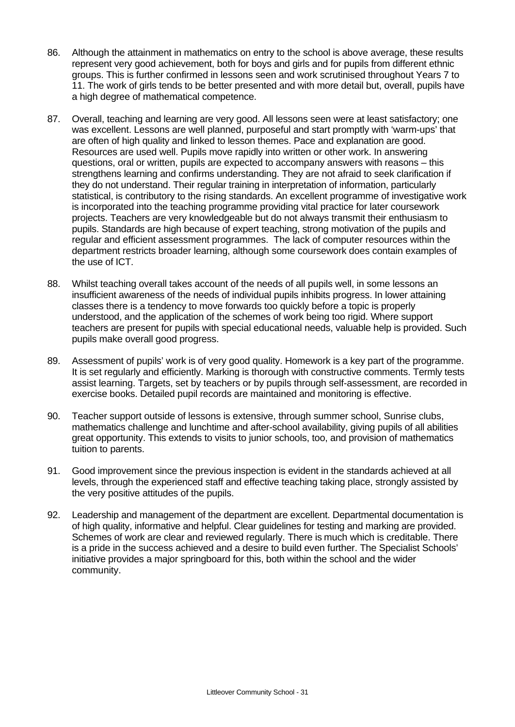- 86. Although the attainment in mathematics on entry to the school is above average, these results represent very good achievement, both for boys and girls and for pupils from different ethnic groups. This is further confirmed in lessons seen and work scrutinised throughout Years 7 to 11. The work of girls tends to be better presented and with more detail but, overall, pupils have a high degree of mathematical competence.
- 87. Overall, teaching and learning are very good. All lessons seen were at least satisfactory; one was excellent. Lessons are well planned, purposeful and start promptly with 'warm-ups' that are often of high quality and linked to lesson themes. Pace and explanation are good. Resources are used well. Pupils move rapidly into written or other work. In answering questions, oral or written, pupils are expected to accompany answers with reasons – this strengthens learning and confirms understanding. They are not afraid to seek clarification if they do not understand. Their regular training in interpretation of information, particularly statistical, is contributory to the rising standards. An excellent programme of investigative work is incorporated into the teaching programme providing vital practice for later coursework projects. Teachers are very knowledgeable but do not always transmit their enthusiasm to pupils. Standards are high because of expert teaching, strong motivation of the pupils and regular and efficient assessment programmes. The lack of computer resources within the department restricts broader learning, although some coursework does contain examples of the use of ICT.
- 88. Whilst teaching overall takes account of the needs of all pupils well, in some lessons an insufficient awareness of the needs of individual pupils inhibits progress. In lower attaining classes there is a tendency to move forwards too quickly before a topic is properly understood, and the application of the schemes of work being too rigid. Where support teachers are present for pupils with special educational needs, valuable help is provided. Such pupils make overall good progress.
- 89. Assessment of pupils' work is of very good quality. Homework is a key part of the programme. It is set regularly and efficiently. Marking is thorough with constructive comments. Termly tests assist learning. Targets, set by teachers or by pupils through self-assessment, are recorded in exercise books. Detailed pupil records are maintained and monitoring is effective.
- 90. Teacher support outside of lessons is extensive, through summer school, Sunrise clubs, mathematics challenge and lunchtime and after-school availability, giving pupils of all abilities great opportunity. This extends to visits to junior schools, too, and provision of mathematics tuition to parents.
- 91. Good improvement since the previous inspection is evident in the standards achieved at all levels, through the experienced staff and effective teaching taking place, strongly assisted by the very positive attitudes of the pupils.
- 92. Leadership and management of the department are excellent. Departmental documentation is of high quality, informative and helpful. Clear guidelines for testing and marking are provided. Schemes of work are clear and reviewed regularly. There is much which is creditable. There is a pride in the success achieved and a desire to build even further. The Specialist Schools' initiative provides a major springboard for this, both within the school and the wider community.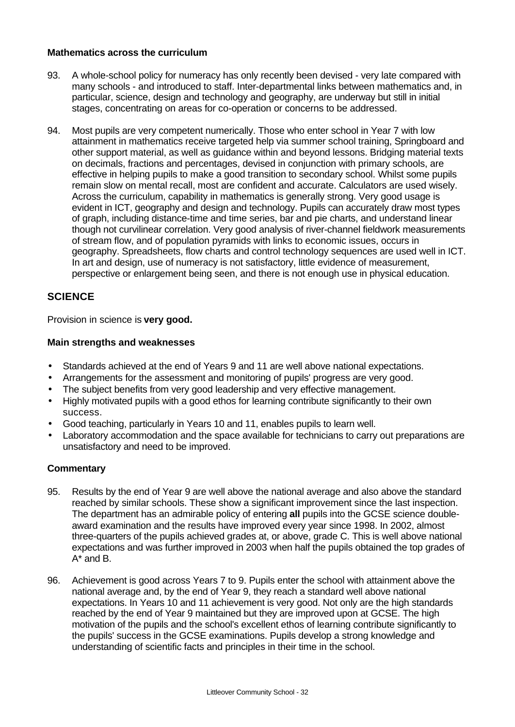#### **Mathematics across the curriculum**

- 93. A whole-school policy for numeracy has only recently been devised very late compared with many schools - and introduced to staff. Inter-departmental links between mathematics and, in particular, science, design and technology and geography, are underway but still in initial stages, concentrating on areas for co-operation or concerns to be addressed.
- 94. Most pupils are very competent numerically. Those who enter school in Year 7 with low attainment in mathematics receive targeted help via summer school training, Springboard and other support material, as well as guidance within and beyond lessons. Bridging material texts on decimals, fractions and percentages, devised in conjunction with primary schools, are effective in helping pupils to make a good transition to secondary school. Whilst some pupils remain slow on mental recall, most are confident and accurate. Calculators are used wisely. Across the curriculum, capability in mathematics is generally strong. Very good usage is evident in ICT, geography and design and technology. Pupils can accurately draw most types of graph, including distance-time and time series, bar and pie charts, and understand linear though not curvilinear correlation. Very good analysis of river-channel fieldwork measurements of stream flow, and of population pyramids with links to economic issues, occurs in geography. Spreadsheets, flow charts and control technology sequences are used well in ICT. In art and design, use of numeracy is not satisfactory, little evidence of measurement, perspective or enlargement being seen, and there is not enough use in physical education.

### **SCIENCE**

Provision in science is **very good.**

#### **Main strengths and weaknesses**

- Standards achieved at the end of Years 9 and 11 are well above national expectations.
- Arrangements for the assessment and monitoring of pupils' progress are very good.
- The subject benefits from very good leadership and very effective management.
- Highly motivated pupils with a good ethos for learning contribute significantly to their own success.
- Good teaching, particularly in Years 10 and 11, enables pupils to learn well.
- Laboratory accommodation and the space available for technicians to carry out preparations are unsatisfactory and need to be improved.

- 95. Results by the end of Year 9 are well above the national average and also above the standard reached by similar schools. These show a significant improvement since the last inspection. The department has an admirable policy of entering **all** pupils into the GCSE science doubleaward examination and the results have improved every year since 1998. In 2002, almost three-quarters of the pupils achieved grades at, or above, grade C. This is well above national expectations and was further improved in 2003 when half the pupils obtained the top grades of A\* and B.
- 96. Achievement is good across Years 7 to 9. Pupils enter the school with attainment above the national average and, by the end of Year 9, they reach a standard well above national expectations. In Years 10 and 11 achievement is very good. Not only are the high standards reached by the end of Year 9 maintained but they are improved upon at GCSE. The high motivation of the pupils and the school's excellent ethos of learning contribute significantly to the pupils' success in the GCSE examinations. Pupils develop a strong knowledge and understanding of scientific facts and principles in their time in the school.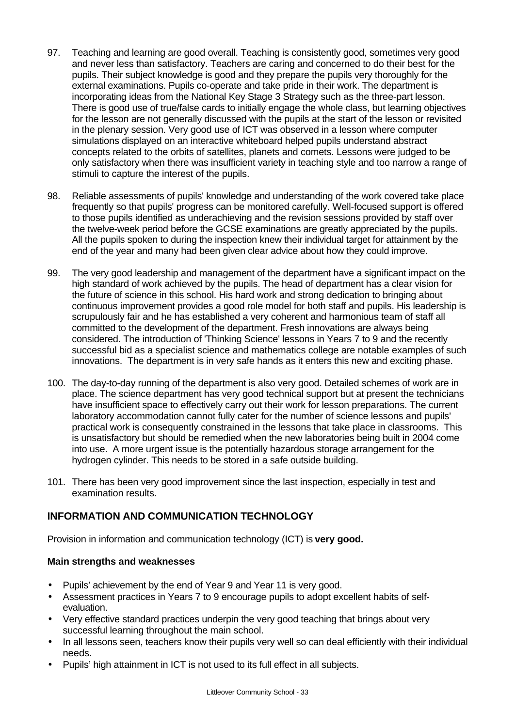- 97. Teaching and learning are good overall. Teaching is consistently good, sometimes very good and never less than satisfactory. Teachers are caring and concerned to do their best for the pupils. Their subject knowledge is good and they prepare the pupils very thoroughly for the external examinations. Pupils co-operate and take pride in their work. The department is incorporating ideas from the National Key Stage 3 Strategy such as the three-part lesson. There is good use of true/false cards to initially engage the whole class, but learning objectives for the lesson are not generally discussed with the pupils at the start of the lesson or revisited in the plenary session. Very good use of ICT was observed in a lesson where computer simulations displayed on an interactive whiteboard helped pupils understand abstract concepts related to the orbits of satellites, planets and comets. Lessons were judged to be only satisfactory when there was insufficient variety in teaching style and too narrow a range of stimuli to capture the interest of the pupils.
- 98. Reliable assessments of pupils' knowledge and understanding of the work covered take place frequently so that pupils' progress can be monitored carefully. Well-focused support is offered to those pupils identified as underachieving and the revision sessions provided by staff over the twelve-week period before the GCSE examinations are greatly appreciated by the pupils. All the pupils spoken to during the inspection knew their individual target for attainment by the end of the year and many had been given clear advice about how they could improve.
- 99. The very good leadership and management of the department have a significant impact on the high standard of work achieved by the pupils. The head of department has a clear vision for the future of science in this school. His hard work and strong dedication to bringing about continuous improvement provides a good role model for both staff and pupils. His leadership is scrupulously fair and he has established a very coherent and harmonious team of staff all committed to the development of the department. Fresh innovations are always being considered. The introduction of 'Thinking Science' lessons in Years 7 to 9 and the recently successful bid as a specialist science and mathematics college are notable examples of such innovations. The department is in very safe hands as it enters this new and exciting phase.
- 100. The day-to-day running of the department is also very good. Detailed schemes of work are in place. The science department has very good technical support but at present the technicians have insufficient space to effectively carry out their work for lesson preparations. The current laboratory accommodation cannot fully cater for the number of science lessons and pupils' practical work is consequently constrained in the lessons that take place in classrooms. This is unsatisfactory but should be remedied when the new laboratories being built in 2004 come into use. A more urgent issue is the potentially hazardous storage arrangement for the hydrogen cylinder. This needs to be stored in a safe outside building.
- 101. There has been very good improvement since the last inspection, especially in test and examination results.

## **INFORMATION AND COMMUNICATION TECHNOLOGY**

Provision in information and communication technology (ICT) is **very good.**

#### **Main strengths and weaknesses**

- Pupils' achievement by the end of Year 9 and Year 11 is very good.
- Assessment practices in Years 7 to 9 encourage pupils to adopt excellent habits of selfevaluation.
- Very effective standard practices underpin the very good teaching that brings about very successful learning throughout the main school.
- In all lessons seen, teachers know their pupils very well so can deal efficiently with their individual needs.
- Pupils' high attainment in ICT is not used to its full effect in all subjects.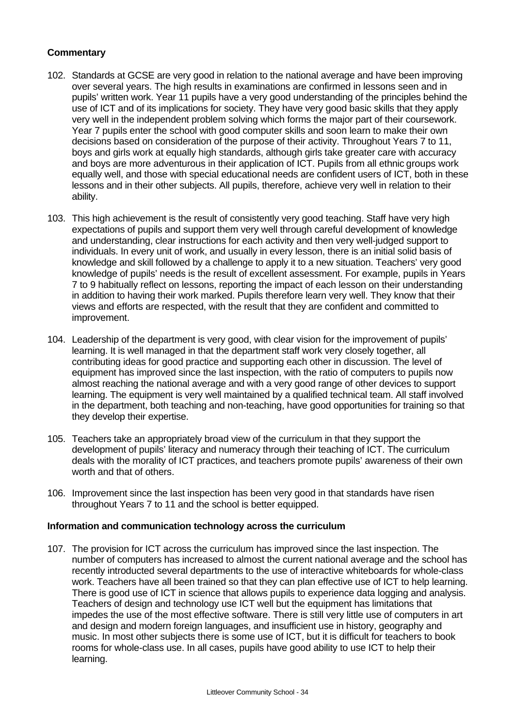#### **Commentary**

- 102. Standards at GCSE are very good in relation to the national average and have been improving over several years. The high results in examinations are confirmed in lessons seen and in pupils' written work. Year 11 pupils have a very good understanding of the principles behind the use of ICT and of its implications for society. They have very good basic skills that they apply very well in the independent problem solving which forms the major part of their coursework. Year 7 pupils enter the school with good computer skills and soon learn to make their own decisions based on consideration of the purpose of their activity. Throughout Years 7 to 11, boys and girls work at equally high standards, although girls take greater care with accuracy and boys are more adventurous in their application of ICT. Pupils from all ethnic groups work equally well, and those with special educational needs are confident users of ICT, both in these lessons and in their other subjects. All pupils, therefore, achieve very well in relation to their ability.
- 103. This high achievement is the result of consistently very good teaching. Staff have very high expectations of pupils and support them very well through careful development of knowledge and understanding, clear instructions for each activity and then very well-judged support to individuals. In every unit of work, and usually in every lesson, there is an initial solid basis of knowledge and skill followed by a challenge to apply it to a new situation. Teachers' very good knowledge of pupils' needs is the result of excellent assessment. For example, pupils in Years 7 to 9 habitually reflect on lessons, reporting the impact of each lesson on their understanding in addition to having their work marked. Pupils therefore learn very well. They know that their views and efforts are respected, with the result that they are confident and committed to improvement.
- 104. Leadership of the department is very good, with clear vision for the improvement of pupils' learning. It is well managed in that the department staff work very closely together, all contributing ideas for good practice and supporting each other in discussion. The level of equipment has improved since the last inspection, with the ratio of computers to pupils now almost reaching the national average and with a very good range of other devices to support learning. The equipment is very well maintained by a qualified technical team. All staff involved in the department, both teaching and non-teaching, have good opportunities for training so that they develop their expertise.
- 105. Teachers take an appropriately broad view of the curriculum in that they support the development of pupils' literacy and numeracy through their teaching of ICT. The curriculum deals with the morality of ICT practices, and teachers promote pupils' awareness of their own worth and that of others.
- 106. Improvement since the last inspection has been very good in that standards have risen throughout Years 7 to 11 and the school is better equipped.

#### **Information and communication technology across the curriculum**

107. The provision for ICT across the curriculum has improved since the last inspection. The number of computers has increased to almost the current national average and the school has recently introducted several departments to the use of interactive whiteboards for whole-class work. Teachers have all been trained so that they can plan effective use of ICT to help learning. There is good use of ICT in science that allows pupils to experience data logging and analysis. Teachers of design and technology use ICT well but the equipment has limitations that impedes the use of the most effective software. There is still very little use of computers in art and design and modern foreign languages, and insufficient use in history, geography and music. In most other subjects there is some use of ICT, but it is difficult for teachers to book rooms for whole-class use. In all cases, pupils have good ability to use ICT to help their learning.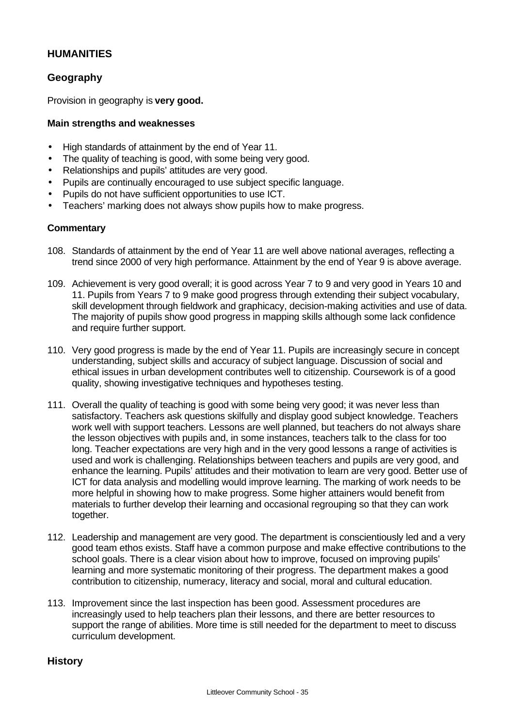## **HUMANITIES**

## **Geography**

Provision in geography is **very good.**

#### **Main strengths and weaknesses**

- High standards of attainment by the end of Year 11.
- The quality of teaching is good, with some being very good.
- Relationships and pupils' attitudes are very good.
- Pupils are continually encouraged to use subject specific language.
- Pupils do not have sufficient opportunities to use ICT.
- Teachers' marking does not always show pupils how to make progress.

#### **Commentary**

- 108. Standards of attainment by the end of Year 11 are well above national averages, reflecting a trend since 2000 of very high performance. Attainment by the end of Year 9 is above average.
- 109. Achievement is very good overall; it is good across Year 7 to 9 and very good in Years 10 and 11. Pupils from Years 7 to 9 make good progress through extending their subject vocabulary, skill development through fieldwork and graphicacy, decision-making activities and use of data. The majority of pupils show good progress in mapping skills although some lack confidence and require further support.
- 110. Very good progress is made by the end of Year 11. Pupils are increasingly secure in concept understanding, subject skills and accuracy of subject language. Discussion of social and ethical issues in urban development contributes well to citizenship. Coursework is of a good quality, showing investigative techniques and hypotheses testing.
- 111. Overall the quality of teaching is good with some being very good; it was never less than satisfactory. Teachers ask questions skilfully and display good subject knowledge. Teachers work well with support teachers. Lessons are well planned, but teachers do not always share the lesson objectives with pupils and, in some instances, teachers talk to the class for too long. Teacher expectations are very high and in the very good lessons a range of activities is used and work is challenging. Relationships between teachers and pupils are very good, and enhance the learning. Pupils' attitudes and their motivation to learn are very good. Better use of ICT for data analysis and modelling would improve learning. The marking of work needs to be more helpful in showing how to make progress. Some higher attainers would benefit from materials to further develop their learning and occasional regrouping so that they can work together.
- 112. Leadership and management are very good. The department is conscientiously led and a very good team ethos exists. Staff have a common purpose and make effective contributions to the school goals. There is a clear vision about how to improve, focused on improving pupils' learning and more systematic monitoring of their progress. The department makes a good contribution to citizenship, numeracy, literacy and social, moral and cultural education.
- 113. Improvement since the last inspection has been good. Assessment procedures are increasingly used to help teachers plan their lessons, and there are better resources to support the range of abilities. More time is still needed for the department to meet to discuss curriculum development.

**History**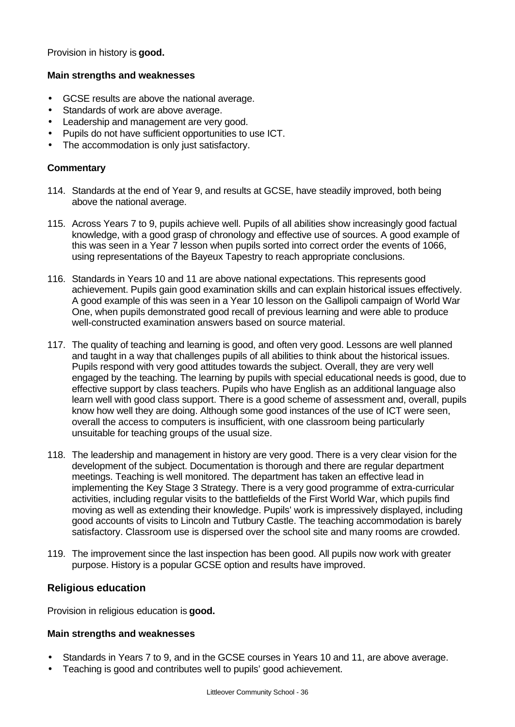Provision in history is **good.**

#### **Main strengths and weaknesses**

- GCSE results are above the national average.
- Standards of work are above average.
- Leadership and management are very good.
- Pupils do not have sufficient opportunities to use ICT.
- The accommodation is only just satisfactory.

#### **Commentary**

- 114. Standards at the end of Year 9, and results at GCSE, have steadily improved, both being above the national average.
- 115. Across Years 7 to 9, pupils achieve well. Pupils of all abilities show increasingly good factual knowledge, with a good grasp of chronology and effective use of sources. A good example of this was seen in a Year 7 lesson when pupils sorted into correct order the events of 1066, using representations of the Bayeux Tapestry to reach appropriate conclusions.
- 116. Standards in Years 10 and 11 are above national expectations. This represents good achievement. Pupils gain good examination skills and can explain historical issues effectively. A good example of this was seen in a Year 10 lesson on the Gallipoli campaign of World War One, when pupils demonstrated good recall of previous learning and were able to produce well-constructed examination answers based on source material.
- 117. The quality of teaching and learning is good, and often very good. Lessons are well planned and taught in a way that challenges pupils of all abilities to think about the historical issues. Pupils respond with very good attitudes towards the subject. Overall, they are very well engaged by the teaching. The learning by pupils with special educational needs is good, due to effective support by class teachers. Pupils who have English as an additional language also learn well with good class support. There is a good scheme of assessment and, overall, pupils know how well they are doing. Although some good instances of the use of ICT were seen, overall the access to computers is insufficient, with one classroom being particularly unsuitable for teaching groups of the usual size.
- 118. The leadership and management in history are very good. There is a very clear vision for the development of the subject. Documentation is thorough and there are regular department meetings. Teaching is well monitored. The department has taken an effective lead in implementing the Key Stage 3 Strategy. There is a very good programme of extra-curricular activities, including regular visits to the battlefields of the First World War, which pupils find moving as well as extending their knowledge. Pupils' work is impressively displayed, including good accounts of visits to Lincoln and Tutbury Castle. The teaching accommodation is barely satisfactory. Classroom use is dispersed over the school site and many rooms are crowded.
- 119. The improvement since the last inspection has been good. All pupils now work with greater purpose. History is a popular GCSE option and results have improved.

### **Religious education**

Provision in religious education is **good.**

#### **Main strengths and weaknesses**

- Standards in Years 7 to 9, and in the GCSE courses in Years 10 and 11, are above average.
- Teaching is good and contributes well to pupils' good achievement.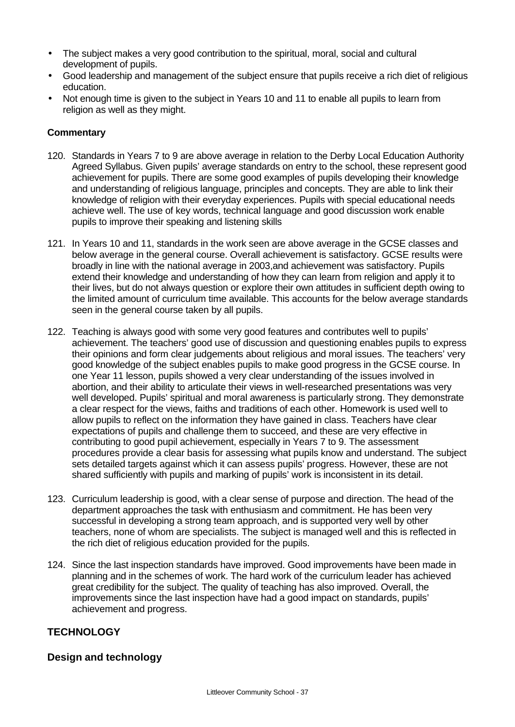- The subject makes a very good contribution to the spiritual, moral, social and cultural development of pupils.
- Good leadership and management of the subject ensure that pupils receive a rich diet of religious education.
- Not enough time is given to the subject in Years 10 and 11 to enable all pupils to learn from religion as well as they might.

#### **Commentary**

- 120. Standards in Years 7 to 9 are above average in relation to the Derby Local Education Authority Agreed Syllabus. Given pupils' average standards on entry to the school, these represent good achievement for pupils. There are some good examples of pupils developing their knowledge and understanding of religious language, principles and concepts. They are able to link their knowledge of religion with their everyday experiences. Pupils with special educational needs achieve well. The use of key words, technical language and good discussion work enable pupils to improve their speaking and listening skills
- 121. In Years 10 and 11, standards in the work seen are above average in the GCSE classes and below average in the general course. Overall achievement is satisfactory. GCSE results were broadly in line with the national average in 2003,and achievement was satisfactory. Pupils extend their knowledge and understanding of how they can learn from religion and apply it to their lives, but do not always question or explore their own attitudes in sufficient depth owing to the limited amount of curriculum time available. This accounts for the below average standards seen in the general course taken by all pupils.
- 122. Teaching is always good with some very good features and contributes well to pupils' achievement. The teachers' good use of discussion and questioning enables pupils to express their opinions and form clear judgements about religious and moral issues. The teachers' very good knowledge of the subject enables pupils to make good progress in the GCSE course. In one Year 11 lesson, pupils showed a very clear understanding of the issues involved in abortion, and their ability to articulate their views in well-researched presentations was very well developed. Pupils' spiritual and moral awareness is particularly strong. They demonstrate a clear respect for the views, faiths and traditions of each other. Homework is used well to allow pupils to reflect on the information they have gained in class. Teachers have clear expectations of pupils and challenge them to succeed, and these are very effective in contributing to good pupil achievement, especially in Years 7 to 9. The assessment procedures provide a clear basis for assessing what pupils know and understand. The subject sets detailed targets against which it can assess pupils' progress. However, these are not shared sufficiently with pupils and marking of pupils' work is inconsistent in its detail.
- 123. Curriculum leadership is good, with a clear sense of purpose and direction. The head of the department approaches the task with enthusiasm and commitment. He has been very successful in developing a strong team approach, and is supported very well by other teachers, none of whom are specialists. The subject is managed well and this is reflected in the rich diet of religious education provided for the pupils.
- 124. Since the last inspection standards have improved. Good improvements have been made in planning and in the schemes of work. The hard work of the curriculum leader has achieved great credibility for the subject. The quality of teaching has also improved. Overall, the improvements since the last inspection have had a good impact on standards, pupils' achievement and progress.

### **TECHNOLOGY**

### **Design and technology**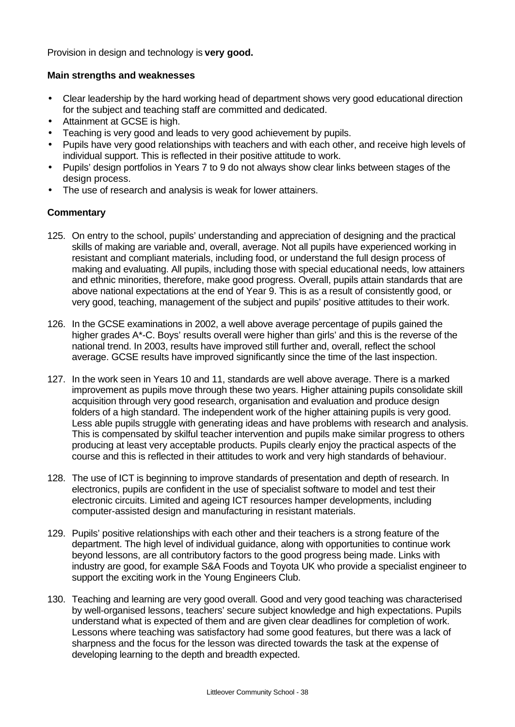Provision in design and technology is **very good.**

#### **Main strengths and weaknesses**

- Clear leadership by the hard working head of department shows very good educational direction for the subject and teaching staff are committed and dedicated.
- Attainment at GCSE is high.
- Teaching is very good and leads to very good achievement by pupils.
- Pupils have very good relationships with teachers and with each other, and receive high levels of individual support. This is reflected in their positive attitude to work.
- Pupils' design portfolios in Years 7 to 9 do not always show clear links between stages of the design process.
- The use of research and analysis is weak for lower attainers.

- 125. On entry to the school, pupils' understanding and appreciation of designing and the practical skills of making are variable and, overall, average. Not all pupils have experienced working in resistant and compliant materials, including food, or understand the full design process of making and evaluating. All pupils, including those with special educational needs, low attainers and ethnic minorities, therefore, make good progress. Overall, pupils attain standards that are above national expectations at the end of Year 9. This is as a result of consistently good, or very good, teaching, management of the subject and pupils' positive attitudes to their work.
- 126. In the GCSE examinations in 2002, a well above average percentage of pupils gained the higher grades A\*-C. Boys' results overall were higher than girls' and this is the reverse of the national trend. In 2003, results have improved still further and, overall, reflect the school average. GCSE results have improved significantly since the time of the last inspection.
- 127. In the work seen in Years 10 and 11, standards are well above average. There is a marked improvement as pupils move through these two years. Higher attaining pupils consolidate skill acquisition through very good research, organisation and evaluation and produce design folders of a high standard. The independent work of the higher attaining pupils is very good. Less able pupils struggle with generating ideas and have problems with research and analysis. This is compensated by skilful teacher intervention and pupils make similar progress to others producing at least very acceptable products. Pupils clearly enjoy the practical aspects of the course and this is reflected in their attitudes to work and very high standards of behaviour.
- 128. The use of ICT is beginning to improve standards of presentation and depth of research. In electronics, pupils are confident in the use of specialist software to model and test their electronic circuits. Limited and ageing ICT resources hamper developments, including computer-assisted design and manufacturing in resistant materials.
- 129. Pupils' positive relationships with each other and their teachers is a strong feature of the department. The high level of individual guidance, along with opportunities to continue work beyond lessons, are all contributory factors to the good progress being made. Links with industry are good, for example S&A Foods and Toyota UK who provide a specialist engineer to support the exciting work in the Young Engineers Club.
- 130. Teaching and learning are very good overall. Good and very good teaching was characterised by well-organised lessons, teachers' secure subject knowledge and high expectations. Pupils understand what is expected of them and are given clear deadlines for completion of work. Lessons where teaching was satisfactory had some good features, but there was a lack of sharpness and the focus for the lesson was directed towards the task at the expense of developing learning to the depth and breadth expected.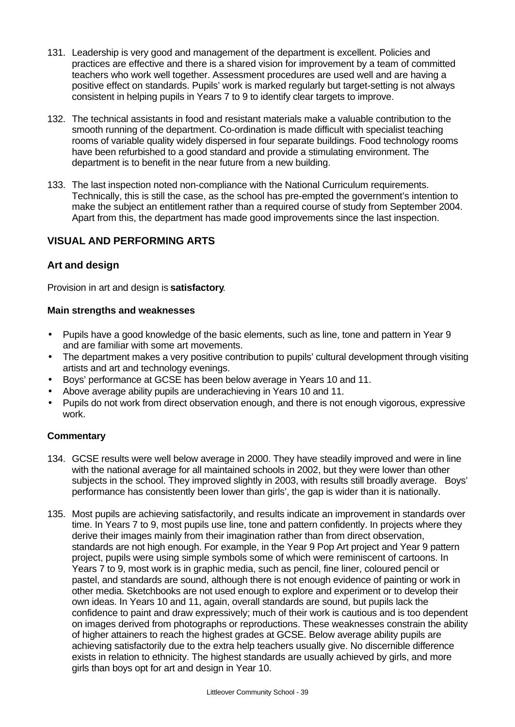- 131. Leadership is very good and management of the department is excellent. Policies and practices are effective and there is a shared vision for improvement by a team of committed teachers who work well together. Assessment procedures are used well and are having a positive effect on standards. Pupils' work is marked regularly but target-setting is not always consistent in helping pupils in Years 7 to 9 to identify clear targets to improve.
- 132. The technical assistants in food and resistant materials make a valuable contribution to the smooth running of the department. Co-ordination is made difficult with specialist teaching rooms of variable quality widely dispersed in four separate buildings. Food technology rooms have been refurbished to a good standard and provide a stimulating environment. The department is to benefit in the near future from a new building.
- 133. The last inspection noted non-compliance with the National Curriculum requirements. Technically, this is still the case, as the school has pre-empted the government's intention to make the subject an entitlement rather than a required course of study from September 2004. Apart from this, the department has made good improvements since the last inspection.

## **VISUAL AND PERFORMING ARTS**

## **Art and design**

Provision in art and design is **satisfactory**.

#### **Main strengths and weaknesses**

- Pupils have a good knowledge of the basic elements, such as line, tone and pattern in Year 9 and are familiar with some art movements.
- The department makes a very positive contribution to pupils' cultural development through visiting artists and art and technology evenings.
- Boys' performance at GCSE has been below average in Years 10 and 11.
- Above average ability pupils are underachieving in Years 10 and 11.
- Pupils do not work from direct observation enough, and there is not enough vigorous, expressive work.

- 134. GCSE results were well below average in 2000. They have steadily improved and were in line with the national average for all maintained schools in 2002, but they were lower than other subjects in the school. They improved slightly in 2003, with results still broadly average. Boys' performance has consistently been lower than girls', the gap is wider than it is nationally.
- 135. Most pupils are achieving satisfactorily, and results indicate an improvement in standards over time. In Years 7 to 9, most pupils use line, tone and pattern confidently. In projects where they derive their images mainly from their imagination rather than from direct observation, standards are not high enough. For example, in the Year 9 Pop Art project and Year 9 pattern project, pupils were using simple symbols some of which were reminiscent of cartoons. In Years 7 to 9, most work is in graphic media, such as pencil, fine liner, coloured pencil or pastel, and standards are sound, although there is not enough evidence of painting or work in other media. Sketchbooks are not used enough to explore and experiment or to develop their own ideas. In Years 10 and 11, again, overall standards are sound, but pupils lack the confidence to paint and draw expressively; much of their work is cautious and is too dependent on images derived from photographs or reproductions. These weaknesses constrain the ability of higher attainers to reach the highest grades at GCSE. Below average ability pupils are achieving satisfactorily due to the extra help teachers usually give. No discernible difference exists in relation to ethnicity. The highest standards are usually achieved by girls, and more girls than boys opt for art and design in Year 10.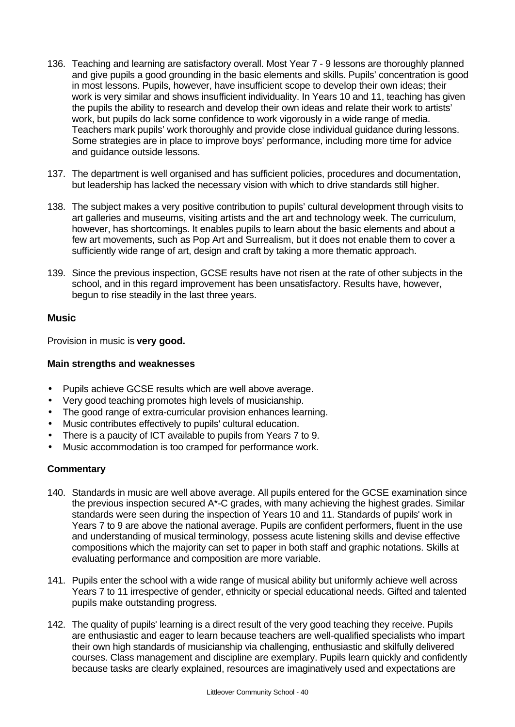- 136. Teaching and learning are satisfactory overall. Most Year 7 9 lessons are thoroughly planned and give pupils a good grounding in the basic elements and skills. Pupils' concentration is good in most lessons. Pupils, however, have insufficient scope to develop their own ideas; their work is very similar and shows insufficient individuality. In Years 10 and 11, teaching has given the pupils the ability to research and develop their own ideas and relate their work to artists' work, but pupils do lack some confidence to work vigorously in a wide range of media. Teachers mark pupils' work thoroughly and provide close individual guidance during lessons. Some strategies are in place to improve boys' performance, including more time for advice and guidance outside lessons.
- 137. The department is well organised and has sufficient policies, procedures and documentation, but leadership has lacked the necessary vision with which to drive standards still higher.
- 138. The subject makes a very positive contribution to pupils' cultural development through visits to art galleries and museums, visiting artists and the art and technology week. The curriculum, however, has shortcomings. It enables pupils to learn about the basic elements and about a few art movements, such as Pop Art and Surrealism, but it does not enable them to cover a sufficiently wide range of art, design and craft by taking a more thematic approach.
- 139. Since the previous inspection, GCSE results have not risen at the rate of other subjects in the school, and in this regard improvement has been unsatisfactory. Results have, however, begun to rise steadily in the last three years.

#### **Music**

Provision in music is **very good.**

#### **Main strengths and weaknesses**

- Pupils achieve GCSE results which are well above average.
- Very good teaching promotes high levels of musicianship.
- The good range of extra-curricular provision enhances learning.
- Music contributes effectively to pupils' cultural education.
- There is a paucity of ICT available to pupils from Years 7 to 9.
- Music accommodation is too cramped for performance work.

- 140. Standards in music are well above average. All pupils entered for the GCSE examination since the previous inspection secured A\*-C grades, with many achieving the highest grades. Similar standards were seen during the inspection of Years 10 and 11. Standards of pupils' work in Years 7 to 9 are above the national average. Pupils are confident performers, fluent in the use and understanding of musical terminology, possess acute listening skills and devise effective compositions which the majority can set to paper in both staff and graphic notations. Skills at evaluating performance and composition are more variable.
- 141. Pupils enter the school with a wide range of musical ability but uniformly achieve well across Years 7 to 11 irrespective of gender, ethnicity or special educational needs. Gifted and talented pupils make outstanding progress.
- 142. The quality of pupils' learning is a direct result of the very good teaching they receive. Pupils are enthusiastic and eager to learn because teachers are well-qualified specialists who impart their own high standards of musicianship via challenging, enthusiastic and skilfully delivered courses. Class management and discipline are exemplary. Pupils learn quickly and confidently because tasks are clearly explained, resources are imaginatively used and expectations are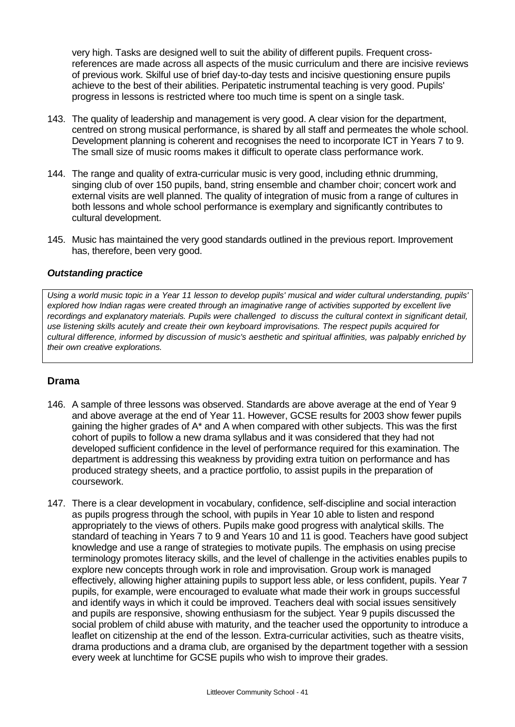very high. Tasks are designed well to suit the ability of different pupils. Frequent crossreferences are made across all aspects of the music curriculum and there are incisive reviews of previous work. Skilful use of brief day-to-day tests and incisive questioning ensure pupils achieve to the best of their abilities. Peripatetic instrumental teaching is very good. Pupils' progress in lessons is restricted where too much time is spent on a single task.

- 143. The quality of leadership and management is very good. A clear vision for the department, centred on strong musical performance, is shared by all staff and permeates the whole school. Development planning is coherent and recognises the need to incorporate ICT in Years 7 to 9. The small size of music rooms makes it difficult to operate class performance work.
- 144. The range and quality of extra-curricular music is very good, including ethnic drumming, singing club of over 150 pupils, band, string ensemble and chamber choir; concert work and external visits are well planned. The quality of integration of music from a range of cultures in both lessons and whole school performance is exemplary and significantly contributes to cultural development.
- 145. Music has maintained the very good standards outlined in the previous report. Improvement has, therefore, been very good.

#### *Outstanding practice*

*Using a world music topic in a Year 11 lesson to develop pupils' musical and wider cultural understanding, pupils' explored how Indian ragas were created through an imaginative range of activities supported by excellent live recordings and explanatory materials. Pupils were challenged to discuss the cultural context in significant detail, use listening skills acutely and create their own keyboard improvisations. The respect pupils acquired for cultural difference, informed by discussion of music's aesthetic and spiritual affinities, was palpably enriched by their own creative explorations.*

### **Drama**

- 146. A sample of three lessons was observed. Standards are above average at the end of Year 9 and above average at the end of Year 11. However, GCSE results for 2003 show fewer pupils gaining the higher grades of A\* and A when compared with other subjects. This was the first cohort of pupils to follow a new drama syllabus and it was considered that they had not developed sufficient confidence in the level of performance required for this examination. The department is addressing this weakness by providing extra tuition on performance and has produced strategy sheets, and a practice portfolio, to assist pupils in the preparation of coursework.
- 147. There is a clear development in vocabulary, confidence, self-discipline and social interaction as pupils progress through the school, with pupils in Year 10 able to listen and respond appropriately to the views of others. Pupils make good progress with analytical skills. The standard of teaching in Years 7 to 9 and Years 10 and 11 is good. Teachers have good subject knowledge and use a range of strategies to motivate pupils. The emphasis on using precise terminology promotes literacy skills, and the level of challenge in the activities enables pupils to explore new concepts through work in role and improvisation. Group work is managed effectively, allowing higher attaining pupils to support less able, or less confident, pupils. Year 7 pupils, for example, were encouraged to evaluate what made their work in groups successful and identify ways in which it could be improved. Teachers deal with social issues sensitively and pupils are responsive, showing enthusiasm for the subject. Year 9 pupils discussed the social problem of child abuse with maturity, and the teacher used the opportunity to introduce a leaflet on citizenship at the end of the lesson. Extra-curricular activities, such as theatre visits, drama productions and a drama club, are organised by the department together with a session every week at lunchtime for GCSE pupils who wish to improve their grades.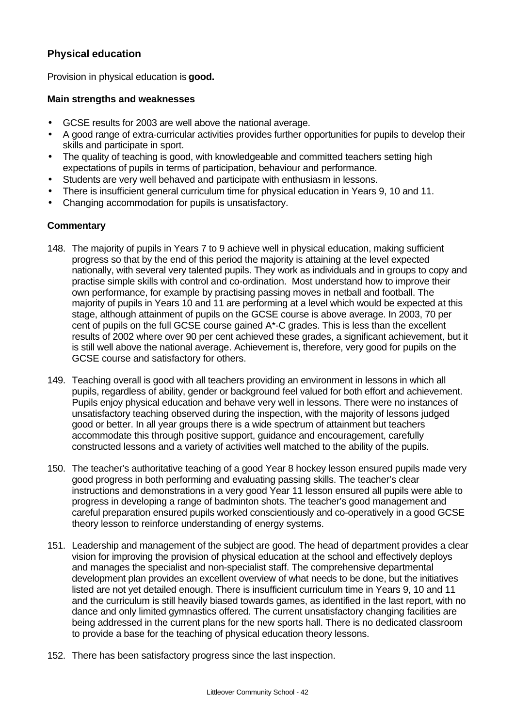## **Physical education**

Provision in physical education is **good.**

#### **Main strengths and weaknesses**

- GCSE results for 2003 are well above the national average.
- A good range of extra-curricular activities provides further opportunities for pupils to develop their skills and participate in sport.
- The quality of teaching is good, with knowledgeable and committed teachers setting high expectations of pupils in terms of participation, behaviour and performance.
- Students are very well behaved and participate with enthusiasm in lessons.
- There is insufficient general curriculum time for physical education in Years 9, 10 and 11.
- Changing accommodation for pupils is unsatisfactory.

- 148. The majority of pupils in Years 7 to 9 achieve well in physical education, making sufficient progress so that by the end of this period the majority is attaining at the level expected nationally, with several very talented pupils. They work as individuals and in groups to copy and practise simple skills with control and co-ordination. Most understand how to improve their own performance, for example by practising passing moves in netball and football. The majority of pupils in Years 10 and 11 are performing at a level which would be expected at this stage, although attainment of pupils on the GCSE course is above average. In 2003, 70 per cent of pupils on the full GCSE course gained A\*-C grades. This is less than the excellent results of 2002 where over 90 per cent achieved these grades, a significant achievement, but it is still well above the national average. Achievement is, therefore, very good for pupils on the GCSE course and satisfactory for others.
- 149. Teaching overall is good with all teachers providing an environment in lessons in which all pupils, regardless of ability, gender or background feel valued for both effort and achievement. Pupils enjoy physical education and behave very well in lessons. There were no instances of unsatisfactory teaching observed during the inspection, with the majority of lessons judged good or better. In all year groups there is a wide spectrum of attainment but teachers accommodate this through positive support, guidance and encouragement, carefully constructed lessons and a variety of activities well matched to the ability of the pupils.
- 150. The teacher's authoritative teaching of a good Year 8 hockey lesson ensured pupils made very good progress in both performing and evaluating passing skills. The teacher's clear instructions and demonstrations in a very good Year 11 lesson ensured all pupils were able to progress in developing a range of badminton shots. The teacher's good management and careful preparation ensured pupils worked conscientiously and co-operatively in a good GCSE theory lesson to reinforce understanding of energy systems.
- 151. Leadership and management of the subject are good. The head of department provides a clear vision for improving the provision of physical education at the school and effectively deploys and manages the specialist and non-specialist staff. The comprehensive departmental development plan provides an excellent overview of what needs to be done, but the initiatives listed are not yet detailed enough. There is insufficient curriculum time in Years 9, 10 and 11 and the curriculum is still heavily biased towards games, as identified in the last report, with no dance and only limited gymnastics offered. The current unsatisfactory changing facilities are being addressed in the current plans for the new sports hall. There is no dedicated classroom to provide a base for the teaching of physical education theory lessons.
- 152. There has been satisfactory progress since the last inspection.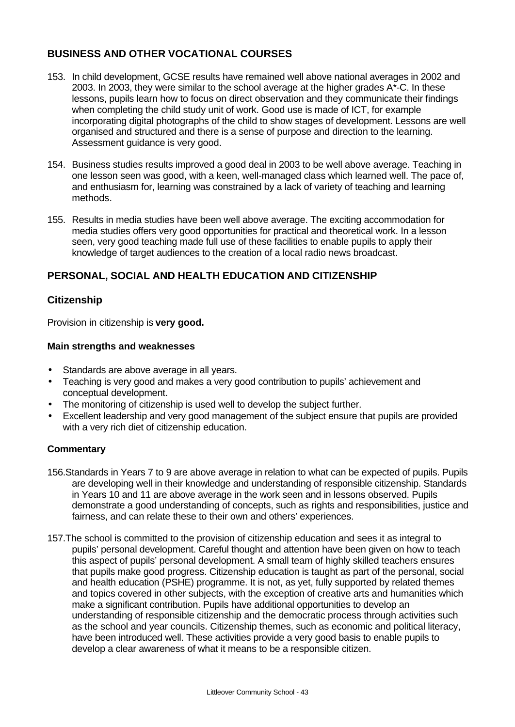## **BUSINESS AND OTHER VOCATIONAL COURSES**

- 153. In child development, GCSE results have remained well above national averages in 2002 and 2003. In 2003, they were similar to the school average at the higher grades A\*-C. In these lessons, pupils learn how to focus on direct observation and they communicate their findings when completing the child study unit of work. Good use is made of ICT, for example incorporating digital photographs of the child to show stages of development. Lessons are well organised and structured and there is a sense of purpose and direction to the learning. Assessment guidance is very good.
- 154. Business studies results improved a good deal in 2003 to be well above average. Teaching in one lesson seen was good, with a keen, well-managed class which learned well. The pace of, and enthusiasm for, learning was constrained by a lack of variety of teaching and learning methods.
- 155. Results in media studies have been well above average. The exciting accommodation for media studies offers very good opportunities for practical and theoretical work. In a lesson seen, very good teaching made full use of these facilities to enable pupils to apply their knowledge of target audiences to the creation of a local radio news broadcast.

## **PERSONAL, SOCIAL AND HEALTH EDUCATION AND CITIZENSHIP**

### **Citizenship**

Provision in citizenship is **very good.**

#### **Main strengths and weaknesses**

- Standards are above average in all years.
- Teaching is very good and makes a very good contribution to pupils' achievement and conceptual development.
- The monitoring of citizenship is used well to develop the subject further.
- Excellent leadership and very good management of the subject ensure that pupils are provided with a very rich diet of citizenship education.

- 156.Standards in Years 7 to 9 are above average in relation to what can be expected of pupils. Pupils are developing well in their knowledge and understanding of responsible citizenship. Standards in Years 10 and 11 are above average in the work seen and in lessons observed. Pupils demonstrate a good understanding of concepts, such as rights and responsibilities, justice and fairness, and can relate these to their own and others' experiences.
- 157.The school is committed to the provision of citizenship education and sees it as integral to pupils' personal development. Careful thought and attention have been given on how to teach this aspect of pupils' personal development. A small team of highly skilled teachers ensures that pupils make good progress. Citizenship education is taught as part of the personal, social and health education (PSHE) programme. It is not, as yet, fully supported by related themes and topics covered in other subjects, with the exception of creative arts and humanities which make a significant contribution. Pupils have additional opportunities to develop an understanding of responsible citizenship and the democratic process through activities such as the school and year councils. Citizenship themes, such as economic and political literacy, have been introduced well. These activities provide a very good basis to enable pupils to develop a clear awareness of what it means to be a responsible citizen.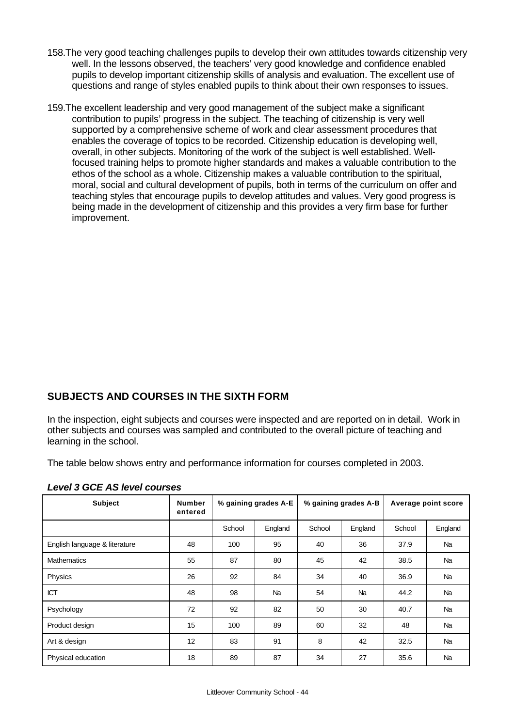- 158.The very good teaching challenges pupils to develop their own attitudes towards citizenship very well. In the lessons observed, the teachers' very good knowledge and confidence enabled pupils to develop important citizenship skills of analysis and evaluation. The excellent use of questions and range of styles enabled pupils to think about their own responses to issues.
- 159.The excellent leadership and very good management of the subject make a significant contribution to pupils' progress in the subject. The teaching of citizenship is very well supported by a comprehensive scheme of work and clear assessment procedures that enables the coverage of topics to be recorded. Citizenship education is developing well, overall, in other subjects. Monitoring of the work of the subject is well established. Wellfocused training helps to promote higher standards and makes a valuable contribution to the ethos of the school as a whole. Citizenship makes a valuable contribution to the spiritual, moral, social and cultural development of pupils, both in terms of the curriculum on offer and teaching styles that encourage pupils to develop attitudes and values. Very good progress is being made in the development of citizenship and this provides a very firm base for further improvement.

## **SUBJECTS AND COURSES IN THE SIXTH FORM**

In the inspection, eight subjects and courses were inspected and are reported on in detail. Work in other subjects and courses was sampled and contributed to the overall picture of teaching and learning in the school.

The table below shows entry and performance information for courses completed in 2003.

| <b>Subject</b>                | <b>Number</b><br>entered | % gaining grades A-E |           | % gaining grades A-B |         | Average point score |           |
|-------------------------------|--------------------------|----------------------|-----------|----------------------|---------|---------------------|-----------|
|                               |                          | School               | England   | School               | England | School              | England   |
| English language & literature | 48                       | 100                  | 95        | 40                   | 36      | 37.9                | Na        |
| <b>Mathematics</b>            | 55                       | 87                   | 80        | 45                   | 42      | 38.5                | Na        |
| Physics                       | 26                       | 92                   | 84        | 34                   | 40      | 36.9                | Na        |
| <b>ICT</b>                    | 48                       | 98                   | <b>Na</b> | 54                   | Na      | 44.2                | Na        |
| Psychology                    | 72                       | 92                   | 82        | 50                   | 30      | 40.7                | <b>Na</b> |
| Product design                | 15                       | 100                  | 89        | 60                   | 32      | 48                  | Na        |
| Art & design                  | 12                       | 83                   | 91        | 8                    | 42      | 32.5                | <b>Na</b> |
| Physical education            | 18                       | 89                   | 87        | 34                   | 27      | 35.6                | <b>Na</b> |

*Level 3 GCE AS level courses*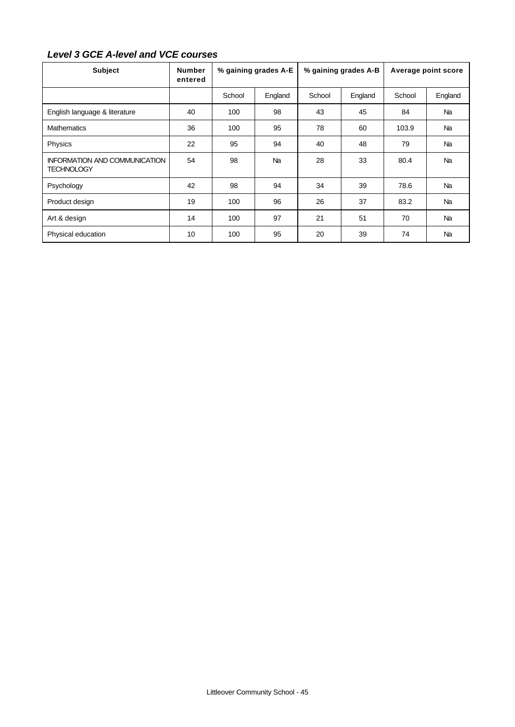## *Level 3 GCE A-level and VCE courses*

| <b>Subject</b>                                            | <b>Number</b><br>entered | % gaining grades A-E |           | % gaining grades A-B |         | Average point score |           |
|-----------------------------------------------------------|--------------------------|----------------------|-----------|----------------------|---------|---------------------|-----------|
|                                                           |                          | School               | England   | School               | England | School              | England   |
| English language & literature                             | 40                       | 100                  | 98        | 43                   | 45      | 84                  | <b>Na</b> |
| <b>Mathematics</b>                                        | 36                       | 100                  | 95        | 78                   | 60      | 103.9               | Na        |
| Physics                                                   | 22                       | 95                   | 94        | 40                   | 48      | 79                  | <b>Na</b> |
| <b>INFORMATION AND COMMUNICATION</b><br><b>TECHNOLOGY</b> | 54                       | 98                   | <b>Na</b> | 28                   | 33      | 80.4                | <b>Na</b> |
| Psychology                                                | 42                       | 98                   | 94        | 34                   | 39      | 78.6                | Na        |
| Product design                                            | 19                       | 100                  | 96        | 26                   | 37      | 83.2                | <b>Na</b> |
| Art & design                                              | 14                       | 100                  | 97        | 21                   | 51      | 70                  | Na        |
| Physical education                                        | 10                       | 100                  | 95        | 20                   | 39      | 74                  | <b>Na</b> |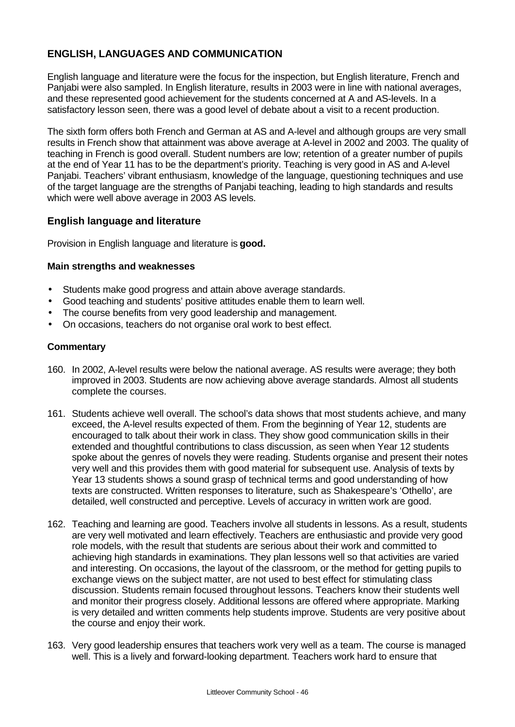## **ENGLISH, LANGUAGES AND COMMUNICATION**

English language and literature were the focus for the inspection, but English literature, French and Panjabi were also sampled. In English literature, results in 2003 were in line with national averages, and these represented good achievement for the students concerned at A and AS-levels. In a satisfactory lesson seen, there was a good level of debate about a visit to a recent production.

The sixth form offers both French and German at AS and A-level and although groups are very small results in French show that attainment was above average at A-level in 2002 and 2003. The quality of teaching in French is good overall. Student numbers are low; retention of a greater number of pupils at the end of Year 11 has to be the department's priority. Teaching is very good in AS and A-level Panjabi. Teachers' vibrant enthusiasm, knowledge of the language, questioning techniques and use of the target language are the strengths of Panjabi teaching, leading to high standards and results which were well above average in 2003 AS levels.

### **English language and literature**

Provision in English language and literature is **good.**

#### **Main strengths and weaknesses**

- Students make good progress and attain above average standards.
- Good teaching and students' positive attitudes enable them to learn well.
- The course benefits from very good leadership and management.
- On occasions, teachers do not organise oral work to best effect.

- 160. In 2002, A-level results were below the national average. AS results were average; they both improved in 2003. Students are now achieving above average standards. Almost all students complete the courses.
- 161. Students achieve well overall. The school's data shows that most students achieve, and many exceed, the A-level results expected of them. From the beginning of Year 12, students are encouraged to talk about their work in class. They show good communication skills in their extended and thoughtful contributions to class discussion, as seen when Year 12 students spoke about the genres of novels they were reading. Students organise and present their notes very well and this provides them with good material for subsequent use. Analysis of texts by Year 13 students shows a sound grasp of technical terms and good understanding of how texts are constructed. Written responses to literature, such as Shakespeare's 'Othello', are detailed, well constructed and perceptive. Levels of accuracy in written work are good.
- 162. Teaching and learning are good. Teachers involve all students in lessons. As a result, students are very well motivated and learn effectively. Teachers are enthusiastic and provide very good role models, with the result that students are serious about their work and committed to achieving high standards in examinations. They plan lessons well so that activities are varied and interesting. On occasions, the layout of the classroom, or the method for getting pupils to exchange views on the subject matter, are not used to best effect for stimulating class discussion. Students remain focused throughout lessons. Teachers know their students well and monitor their progress closely. Additional lessons are offered where appropriate. Marking is very detailed and written comments help students improve. Students are very positive about the course and enjoy their work.
- 163. Very good leadership ensures that teachers work very well as a team. The course is managed well. This is a lively and forward-looking department. Teachers work hard to ensure that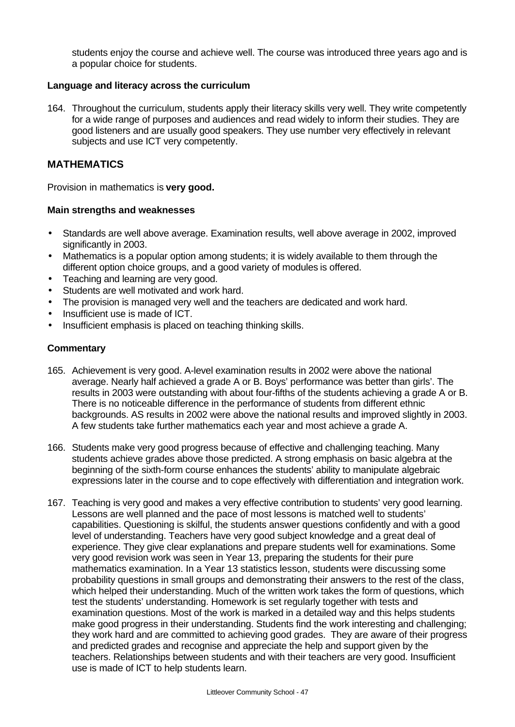students enjoy the course and achieve well. The course was introduced three years ago and is a popular choice for students.

#### **Language and literacy across the curriculum**

164. Throughout the curriculum, students apply their literacy skills very well. They write competently for a wide range of purposes and audiences and read widely to inform their studies. They are good listeners and are usually good speakers. They use number very effectively in relevant subjects and use ICT very competently.

#### **MATHEMATICS**

Provision in mathematics is **very good.**

#### **Main strengths and weaknesses**

- Standards are well above average. Examination results, well above average in 2002, improved significantly in 2003.
- Mathematics is a popular option among students; it is widely available to them through the different option choice groups, and a good variety of modules is offered.
- Teaching and learning are very good.
- Students are well motivated and work hard.
- The provision is managed very well and the teachers are dedicated and work hard.
- Insufficient use is made of ICT.
- Insufficient emphasis is placed on teaching thinking skills.

- 165. Achievement is very good. A-level examination results in 2002 were above the national average. Nearly half achieved a grade A or B. Boys' performance was better than girls'. The results in 2003 were outstanding with about four-fifths of the students achieving a grade A or B. There is no noticeable difference in the performance of students from different ethnic backgrounds. AS results in 2002 were above the national results and improved slightly in 2003. A few students take further mathematics each year and most achieve a grade A.
- 166. Students make very good progress because of effective and challenging teaching. Many students achieve grades above those predicted. A strong emphasis on basic algebra at the beginning of the sixth-form course enhances the students' ability to manipulate algebraic expressions later in the course and to cope effectively with differentiation and integration work.
- 167. Teaching is very good and makes a very effective contribution to students' very good learning. Lessons are well planned and the pace of most lessons is matched well to students' capabilities. Questioning is skilful, the students answer questions confidently and with a good level of understanding. Teachers have very good subject knowledge and a great deal of experience. They give clear explanations and prepare students well for examinations. Some very good revision work was seen in Year 13, preparing the students for their pure mathematics examination. In a Year 13 statistics lesson, students were discussing some probability questions in small groups and demonstrating their answers to the rest of the class, which helped their understanding. Much of the written work takes the form of questions, which test the students' understanding. Homework is set regularly together with tests and examination questions. Most of the work is marked in a detailed way and this helps students make good progress in their understanding. Students find the work interesting and challenging; they work hard and are committed to achieving good grades. They are aware of their progress and predicted grades and recognise and appreciate the help and support given by the teachers. Relationships between students and with their teachers are very good. Insufficient use is made of ICT to help students learn.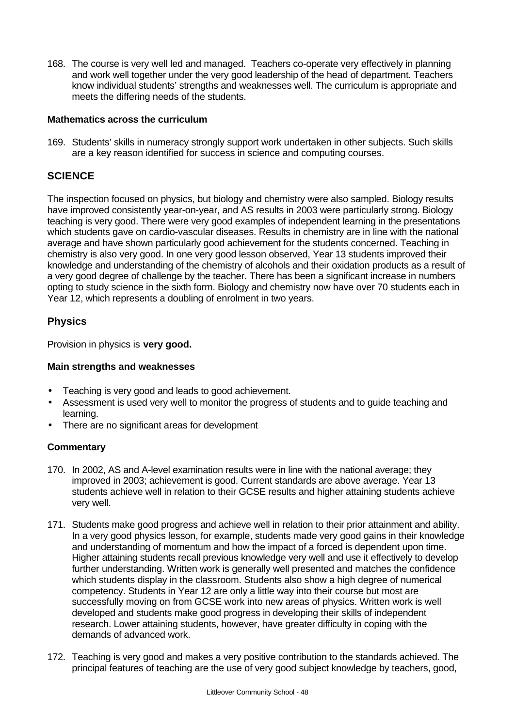168. The course is very well led and managed. Teachers co-operate very effectively in planning and work well together under the very good leadership of the head of department. Teachers know individual students' strengths and weaknesses well. The curriculum is appropriate and meets the differing needs of the students.

#### **Mathematics across the curriculum**

169. Students' skills in numeracy strongly support work undertaken in other subjects. Such skills are a key reason identified for success in science and computing courses.

## **SCIENCE**

The inspection focused on physics, but biology and chemistry were also sampled. Biology results have improved consistently year-on-year, and AS results in 2003 were particularly strong. Biology teaching is very good. There were very good examples of independent learning in the presentations which students gave on cardio-vascular diseases. Results in chemistry are in line with the national average and have shown particularly good achievement for the students concerned. Teaching in chemistry is also very good. In one very good lesson observed, Year 13 students improved their knowledge and understanding of the chemistry of alcohols and their oxidation products as a result of a very good degree of challenge by the teacher. There has been a significant increase in numbers opting to study science in the sixth form. Biology and chemistry now have over 70 students each in Year 12, which represents a doubling of enrolment in two years.

### **Physics**

Provision in physics is **very good.**

#### **Main strengths and weaknesses**

- Teaching is very good and leads to good achievement.
- Assessment is used very well to monitor the progress of students and to guide teaching and learning.
- There are no significant areas for development

- 170. In 2002, AS and A-level examination results were in line with the national average; they improved in 2003; achievement is good. Current standards are above average. Year 13 students achieve well in relation to their GCSE results and higher attaining students achieve very well.
- 171. Students make good progress and achieve well in relation to their prior attainment and ability. In a very good physics lesson, for example, students made very good gains in their knowledge and understanding of momentum and how the impact of a forced is dependent upon time. Higher attaining students recall previous knowledge very well and use it effectively to develop further understanding. Written work is generally well presented and matches the confidence which students display in the classroom. Students also show a high degree of numerical competency. Students in Year 12 are only a little way into their course but most are successfully moving on from GCSE work into new areas of physics. Written work is well developed and students make good progress in developing their skills of independent research. Lower attaining students, however, have greater difficulty in coping with the demands of advanced work.
- 172. Teaching is very good and makes a very positive contribution to the standards achieved. The principal features of teaching are the use of very good subject knowledge by teachers, good,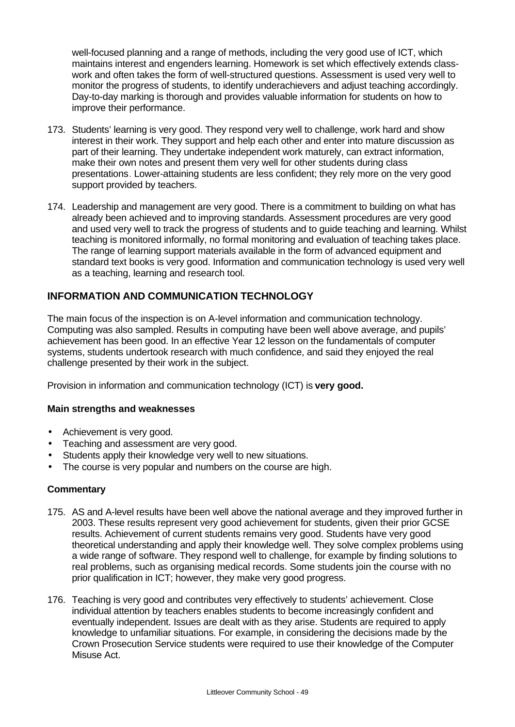well-focused planning and a range of methods, including the very good use of ICT, which maintains interest and engenders learning. Homework is set which effectively extends classwork and often takes the form of well-structured questions. Assessment is used very well to monitor the progress of students, to identify underachievers and adjust teaching accordingly. Day-to-day marking is thorough and provides valuable information for students on how to improve their performance.

- 173. Students' learning is very good. They respond very well to challenge, work hard and show interest in their work. They support and help each other and enter into mature discussion as part of their learning. They undertake independent work maturely, can extract information, make their own notes and present them very well for other students during class presentations. Lower-attaining students are less confident; they rely more on the very good support provided by teachers.
- 174. Leadership and management are very good. There is a commitment to building on what has already been achieved and to improving standards. Assessment procedures are very good and used very well to track the progress of students and to guide teaching and learning. Whilst teaching is monitored informally, no formal monitoring and evaluation of teaching takes place. The range of learning support materials available in the form of advanced equipment and standard text books is very good. Information and communication technology is used very well as a teaching, learning and research tool.

## **INFORMATION AND COMMUNICATION TECHNOLOGY**

The main focus of the inspection is on A-level information and communication technology. Computing was also sampled. Results in computing have been well above average, and pupils' achievement has been good. In an effective Year 12 lesson on the fundamentals of computer systems, students undertook research with much confidence, and said they enjoyed the real challenge presented by their work in the subject.

Provision in information and communication technology (ICT) is **very good.**

#### **Main strengths and weaknesses**

- Achievement is very good.
- Teaching and assessment are very good.
- Students apply their knowledge very well to new situations.
- The course is very popular and numbers on the course are high.

- 175. AS and A-level results have been well above the national average and they improved further in 2003. These results represent very good achievement for students, given their prior GCSE results. Achievement of current students remains very good. Students have very good theoretical understanding and apply their knowledge well. They solve complex problems using a wide range of software. They respond well to challenge, for example by finding solutions to real problems, such as organising medical records. Some students join the course with no prior qualification in ICT; however, they make very good progress.
- 176. Teaching is very good and contributes very effectively to students' achievement. Close individual attention by teachers enables students to become increasingly confident and eventually independent. Issues are dealt with as they arise. Students are required to apply knowledge to unfamiliar situations. For example, in considering the decisions made by the Crown Prosecution Service students were required to use their knowledge of the Computer Misuse Act.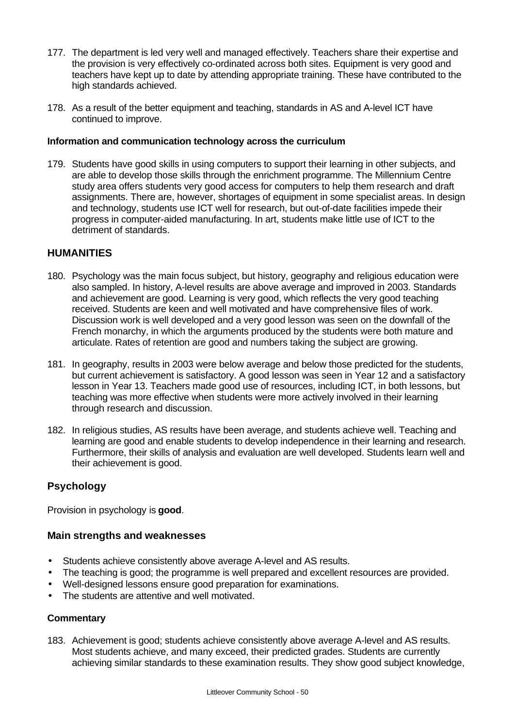- 177. The department is led very well and managed effectively. Teachers share their expertise and the provision is very effectively co-ordinated across both sites. Equipment is very good and teachers have kept up to date by attending appropriate training. These have contributed to the high standards achieved.
- 178. As a result of the better equipment and teaching, standards in AS and A-level ICT have continued to improve.

#### **Information and communication technology across the curriculum**

179. Students have good skills in using computers to support their learning in other subjects, and are able to develop those skills through the enrichment programme. The Millennium Centre study area offers students very good access for computers to help them research and draft assignments. There are, however, shortages of equipment in some specialist areas. In design and technology, students use ICT well for research, but out-of-date facilities impede their progress in computer-aided manufacturing. In art, students make little use of ICT to the detriment of standards.

### **HUMANITIES**

- 180. Psychology was the main focus subject, but history, geography and religious education were also sampled. In history, A-level results are above average and improved in 2003. Standards and achievement are good. Learning is very good, which reflects the very good teaching received. Students are keen and well motivated and have comprehensive files of work. Discussion work is well developed and a very good lesson was seen on the downfall of the French monarchy, in which the arguments produced by the students were both mature and articulate. Rates of retention are good and numbers taking the subject are growing.
- 181. In geography, results in 2003 were below average and below those predicted for the students, but current achievement is satisfactory. A good lesson was seen in Year 12 and a satisfactory lesson in Year 13. Teachers made good use of resources, including ICT, in both lessons, but teaching was more effective when students were more actively involved in their learning through research and discussion.
- 182. In religious studies, AS results have been average, and students achieve well. Teaching and learning are good and enable students to develop independence in their learning and research. Furthermore, their skills of analysis and evaluation are well developed. Students learn well and their achievement is good.

### **Psychology**

Provision in psychology is **good**.

#### **Main strengths and weaknesses**

- Students achieve consistently above average A-level and AS results.
- The teaching is good; the programme is well prepared and excellent resources are provided.
- Well-designed lessons ensure good preparation for examinations.
- The students are attentive and well motivated.

#### **Commentary**

183. Achievement is good; students achieve consistently above average A-level and AS results. Most students achieve, and many exceed, their predicted grades. Students are currently achieving similar standards to these examination results. They show good subject knowledge,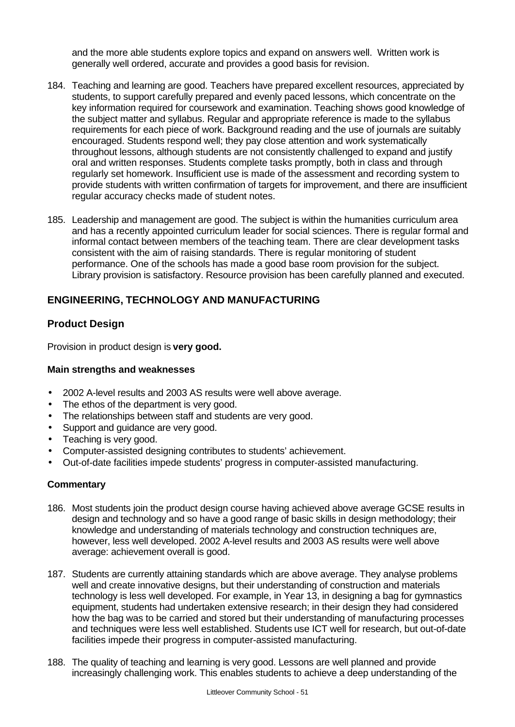and the more able students explore topics and expand on answers well. Written work is generally well ordered, accurate and provides a good basis for revision.

- 184. Teaching and learning are good. Teachers have prepared excellent resources, appreciated by students, to support carefully prepared and evenly paced lessons, which concentrate on the key information required for coursework and examination. Teaching shows good knowledge of the subject matter and syllabus. Regular and appropriate reference is made to the syllabus requirements for each piece of work. Background reading and the use of journals are suitably encouraged. Students respond well; they pay close attention and work systematically throughout lessons, although students are not consistently challenged to expand and justify oral and written responses. Students complete tasks promptly, both in class and through regularly set homework. Insufficient use is made of the assessment and recording system to provide students with written confirmation of targets for improvement, and there are insufficient regular accuracy checks made of student notes.
- 185. Leadership and management are good. The subject is within the humanities curriculum area and has a recently appointed curriculum leader for social sciences. There is regular formal and informal contact between members of the teaching team. There are clear development tasks consistent with the aim of raising standards. There is regular monitoring of student performance. One of the schools has made a good base room provision for the subject. Library provision is satisfactory. Resource provision has been carefully planned and executed.

## **ENGINEERING, TECHNOLOGY AND MANUFACTURING**

### **Product Design**

Provision in product design is **very good.**

#### **Main strengths and weaknesses**

- 2002 A-level results and 2003 AS results were well above average.
- The ethos of the department is very good.
- The relationships between staff and students are very good.
- Support and guidance are very good.
- Teaching is very good.
- Computer-assisted designing contributes to students' achievement.
- Out-of-date facilities impede students' progress in computer-assisted manufacturing.

- 186. Most students join the product design course having achieved above average GCSE results in design and technology and so have a good range of basic skills in design methodology; their knowledge and understanding of materials technology and construction techniques are, however, less well developed. 2002 A-level results and 2003 AS results were well above average: achievement overall is good.
- 187. Students are currently attaining standards which are above average. They analyse problems well and create innovative designs, but their understanding of construction and materials technology is less well developed. For example, in Year 13, in designing a bag for gymnastics equipment, students had undertaken extensive research; in their design they had considered how the bag was to be carried and stored but their understanding of manufacturing processes and techniques were less well established. Students use ICT well for research, but out-of-date facilities impede their progress in computer-assisted manufacturing.
- 188. The quality of teaching and learning is very good. Lessons are well planned and provide increasingly challenging work. This enables students to achieve a deep understanding of the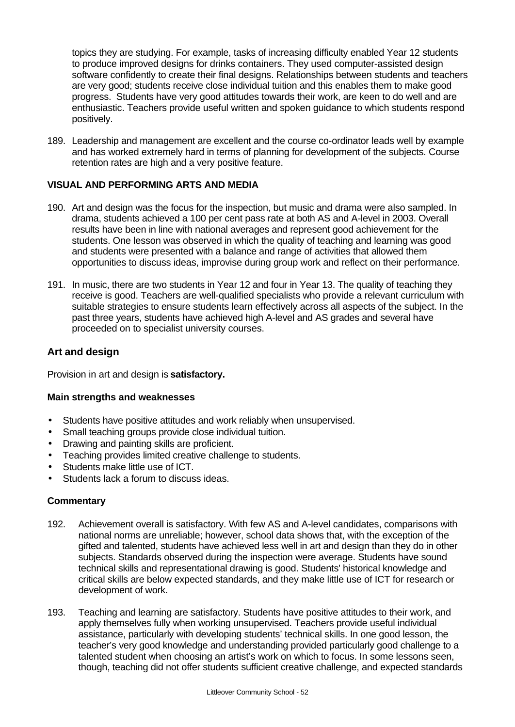topics they are studying. For example, tasks of increasing difficulty enabled Year 12 students to produce improved designs for drinks containers. They used computer-assisted design software confidently to create their final designs. Relationships between students and teachers are very good; students receive close individual tuition and this enables them to make good progress. Students have very good attitudes towards their work, are keen to do well and are enthusiastic. Teachers provide useful written and spoken guidance to which students respond positively.

189. Leadership and management are excellent and the course co-ordinator leads well by example and has worked extremely hard in terms of planning for development of the subjects. Course retention rates are high and a very positive feature.

#### **VISUAL AND PERFORMING ARTS AND MEDIA**

- 190. Art and design was the focus for the inspection, but music and drama were also sampled. In drama, students achieved a 100 per cent pass rate at both AS and A-level in 2003. Overall results have been in line with national averages and represent good achievement for the students. One lesson was observed in which the quality of teaching and learning was good and students were presented with a balance and range of activities that allowed them opportunities to discuss ideas, improvise during group work and reflect on their performance.
- 191. In music, there are two students in Year 12 and four in Year 13. The quality of teaching they receive is good. Teachers are well-qualified specialists who provide a relevant curriculum with suitable strategies to ensure students learn effectively across all aspects of the subject. In the past three years, students have achieved high A-level and AS grades and several have proceeded on to specialist university courses.

#### **Art and design**

Provision in art and design is **satisfactory.**

#### **Main strengths and weaknesses**

- Students have positive attitudes and work reliably when unsupervised.
- Small teaching groups provide close individual tuition.
- Drawing and painting skills are proficient.
- Teaching provides limited creative challenge to students.
- Students make little use of ICT.
- Students lack a forum to discuss ideas.

- 192. Achievement overall is satisfactory. With few AS and A-level candidates, comparisons with national norms are unreliable; however, school data shows that, with the exception of the gifted and talented, students have achieved less well in art and design than they do in other subjects. Standards observed during the inspection were average. Students have sound technical skills and representational drawing is good. Students' historical knowledge and critical skills are below expected standards, and they make little use of ICT for research or development of work.
- 193. Teaching and learning are satisfactory. Students have positive attitudes to their work, and apply themselves fully when working unsupervised. Teachers provide useful individual assistance, particularly with developing students' technical skills. In one good lesson, the teacher's very good knowledge and understanding provided particularly good challenge to a talented student when choosing an artist's work on which to focus. In some lessons seen, though, teaching did not offer students sufficient creative challenge, and expected standards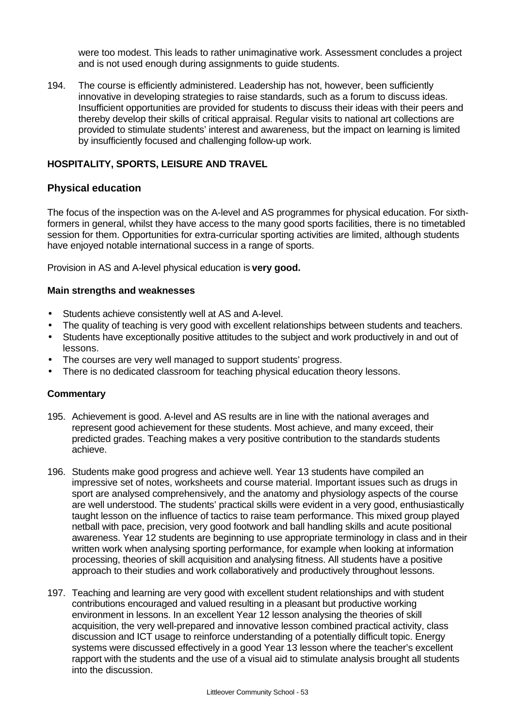were too modest. This leads to rather unimaginative work. Assessment concludes a project and is not used enough during assignments to guide students.

194. The course is efficiently administered. Leadership has not, however, been sufficiently innovative in developing strategies to raise standards, such as a forum to discuss ideas. Insufficient opportunities are provided for students to discuss their ideas with their peers and thereby develop their skills of critical appraisal. Regular visits to national art collections are provided to stimulate students' interest and awareness, but the impact on learning is limited by insufficiently focused and challenging follow-up work.

#### **HOSPITALITY, SPORTS, LEISURE AND TRAVEL**

#### **Physical education**

The focus of the inspection was on the A-level and AS programmes for physical education. For sixthformers in general, whilst they have access to the many good sports facilities, there is no timetabled session for them. Opportunities for extra-curricular sporting activities are limited, although students have enjoyed notable international success in a range of sports.

Provision in AS and A-level physical education is **very good.**

#### **Main strengths and weaknesses**

- Students achieve consistently well at AS and A-level.
- The quality of teaching is very good with excellent relationships between students and teachers.
- Students have exceptionally positive attitudes to the subject and work productively in and out of lessons.
- The courses are very well managed to support students' progress.
- There is no dedicated classroom for teaching physical education theory lessons.

- 195. Achievement is good. A-level and AS results are in line with the national averages and represent good achievement for these students. Most achieve, and many exceed, their predicted grades. Teaching makes a very positive contribution to the standards students achieve.
- 196. Students make good progress and achieve well. Year 13 students have compiled an impressive set of notes, worksheets and course material. Important issues such as drugs in sport are analysed comprehensively, and the anatomy and physiology aspects of the course are well understood. The students' practical skills were evident in a very good, enthusiastically taught lesson on the influence of tactics to raise team performance. This mixed group played netball with pace, precision, very good footwork and ball handling skills and acute positional awareness. Year 12 students are beginning to use appropriate terminology in class and in their written work when analysing sporting performance, for example when looking at information processing, theories of skill acquisition and analysing fitness. All students have a positive approach to their studies and work collaboratively and productively throughout lessons.
- 197. Teaching and learning are very good with excellent student relationships and with student contributions encouraged and valued resulting in a pleasant but productive working environment in lessons. In an excellent Year 12 lesson analysing the theories of skill acquisition, the very well-prepared and innovative lesson combined practical activity, class discussion and ICT usage to reinforce understanding of a potentially difficult topic. Energy systems were discussed effectively in a good Year 13 lesson where the teacher's excellent rapport with the students and the use of a visual aid to stimulate analysis brought all students into the discussion.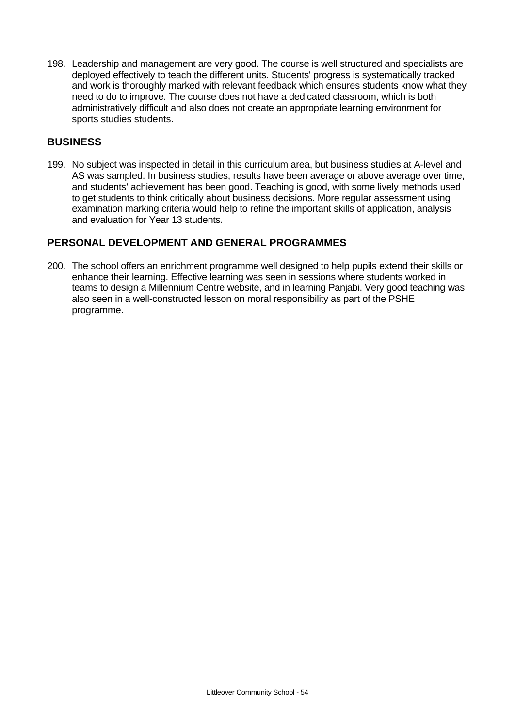198. Leadership and management are very good. The course is well structured and specialists are deployed effectively to teach the different units. Students' progress is systematically tracked and work is thoroughly marked with relevant feedback which ensures students know what they need to do to improve. The course does not have a dedicated classroom, which is both administratively difficult and also does not create an appropriate learning environment for sports studies students.

### **BUSINESS**

199. No subject was inspected in detail in this curriculum area, but business studies at A-level and AS was sampled. In business studies, results have been average or above average over time, and students' achievement has been good. Teaching is good, with some lively methods used to get students to think critically about business decisions. More regular assessment using examination marking criteria would help to refine the important skills of application, analysis and evaluation for Year 13 students.

## **PERSONAL DEVELOPMENT AND GENERAL PROGRAMMES**

200. The school offers an enrichment programme well designed to help pupils extend their skills or enhance their learning. Effective learning was seen in sessions where students worked in teams to design a Millennium Centre website, and in learning Panjabi. Very good teaching was also seen in a well-constructed lesson on moral responsibility as part of the PSHE programme.